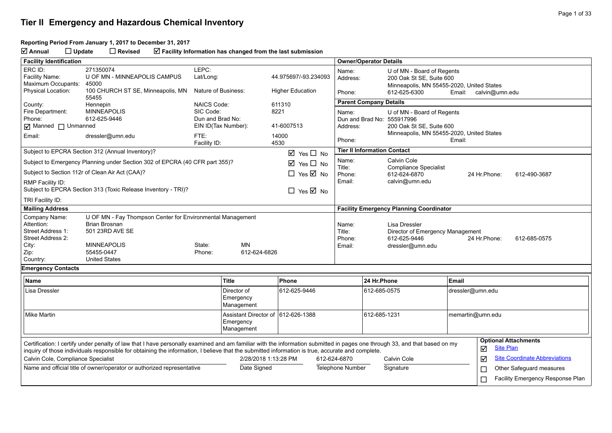#### **Reporting Period From January 1, 2017 to December 31, 2017**

**Annual Update Revised Facility Information has changed from the last submission**

| <b>Facility Identification</b>                                                   |                                                                                                                                                                                                                                                                                                                                |                                                               |                                        |                                                                          |                               | <b>Owner/Operator Details</b> |                                    |                                                                                                     |                       |                              |                                  |  |
|----------------------------------------------------------------------------------|--------------------------------------------------------------------------------------------------------------------------------------------------------------------------------------------------------------------------------------------------------------------------------------------------------------------------------|---------------------------------------------------------------|----------------------------------------|--------------------------------------------------------------------------|-------------------------------|-------------------------------|------------------------------------|-----------------------------------------------------------------------------------------------------|-----------------------|------------------------------|----------------------------------|--|
|                                                                                  |                                                                                                                                                                                                                                                                                                                                | LEPC:                                                         |                                        |                                                                          |                               |                               |                                    |                                                                                                     |                       |                              |                                  |  |
| ERC ID:<br>Facility Name:<br>Maximum Occupants:                                  | 271350074<br>U OF MN - MINNEAPOLIS CAMPUS<br>45000                                                                                                                                                                                                                                                                             | Lat/Long:                                                     |                                        | 44.975697/-93.234093                                                     |                               | Name:<br>Address:             |                                    | U of MN - Board of Regents<br>200 Oak St SE, Suite 600<br>Minneapolis, MN 55455-2020, United States |                       |                              |                                  |  |
| Physical Location:                                                               | 100 CHURCH ST SE, Minneapolis, MN<br>55455                                                                                                                                                                                                                                                                                     | Nature of Business:                                           |                                        | <b>Higher Education</b>                                                  |                               | Phone:                        |                                    | 612-625-6300                                                                                        | Email: calvin@umn.edu |                              |                                  |  |
| County:                                                                          | Hennepin                                                                                                                                                                                                                                                                                                                       | <b>NAICS Code:</b>                                            |                                        | 611310                                                                   |                               | <b>Parent Company Details</b> |                                    |                                                                                                     |                       |                              |                                  |  |
| Fire Department:                                                                 | <b>MINNEAPOLIS</b>                                                                                                                                                                                                                                                                                                             | SIC Code:                                                     |                                        | 8221                                                                     |                               | Name:                         |                                    | U of MN - Board of Regents                                                                          |                       |                              |                                  |  |
| Phone:                                                                           | 612-625-9446                                                                                                                                                                                                                                                                                                                   | Dun and Brad No:                                              |                                        |                                                                          |                               |                               |                                    | Dun and Brad No: 555917996                                                                          |                       |                              |                                  |  |
| $\boxed{\triangleleft}$ Manned $\boxed{\phantom{a}}$ Unmanned                    |                                                                                                                                                                                                                                                                                                                                |                                                               | EIN ID(Tax Number):                    | 41-6007513                                                               |                               | Address:                      |                                    | 200 Oak St SE, Suite 600                                                                            |                       |                              |                                  |  |
| Email:                                                                           | dressler@umn.edu                                                                                                                                                                                                                                                                                                               | FTE:                                                          |                                        | 14000                                                                    |                               |                               |                                    | Minneapolis, MN 55455-2020, United States                                                           |                       |                              |                                  |  |
|                                                                                  |                                                                                                                                                                                                                                                                                                                                | Facility ID:                                                  |                                        | 4530                                                                     |                               | Phone:                        |                                    |                                                                                                     | Email:                |                              |                                  |  |
| Subject to EPCRA Section 312 (Annual Inventory)?<br>$\boxtimes$ Yes $\square$ No |                                                                                                                                                                                                                                                                                                                                |                                                               |                                        |                                                                          |                               |                               | <b>Tier II Information Contact</b> |                                                                                                     |                       |                              |                                  |  |
|                                                                                  | Subject to Emergency Planning under Section 302 of EPCRA (40 CFR part 355)?                                                                                                                                                                                                                                                    |                                                               |                                        | ☑<br>Yes $\Box$ No                                                       |                               | Name:                         |                                    | Calvin Cole<br><b>Compliance Specialist</b>                                                         |                       |                              |                                  |  |
|                                                                                  | Subject to Section 112r of Clean Air Act (CAA)?                                                                                                                                                                                                                                                                                |                                                               |                                        | $\Box$ Yes $\boxtimes$ No                                                |                               | Title:<br>Phone:              |                                    | 612-624-6870                                                                                        |                       | 24 Hr.Phone:<br>612-490-3687 |                                  |  |
| RMP Facility ID:                                                                 |                                                                                                                                                                                                                                                                                                                                |                                                               |                                        |                                                                          |                               | Email:                        |                                    | calvin@umn.edu                                                                                      |                       |                              |                                  |  |
|                                                                                  | Subject to EPCRA Section 313 (Toxic Release Inventory - TRI)?                                                                                                                                                                                                                                                                  |                                                               |                                        | $\Box$ Yes $\overline{\boxtimes}$ No                                     |                               |                               |                                    |                                                                                                     |                       |                              |                                  |  |
| TRI Facility ID:                                                                 |                                                                                                                                                                                                                                                                                                                                |                                                               |                                        |                                                                          |                               |                               |                                    |                                                                                                     |                       |                              |                                  |  |
| <b>Mailing Address</b>                                                           |                                                                                                                                                                                                                                                                                                                                |                                                               |                                        |                                                                          |                               |                               |                                    | <b>Facility Emergency Planning Coordinator</b>                                                      |                       |                              |                                  |  |
| U OF MN - Fay Thompson Center for Environmental Management<br>Company Name:      |                                                                                                                                                                                                                                                                                                                                |                                                               |                                        |                                                                          |                               |                               |                                    |                                                                                                     |                       |                              |                                  |  |
| Attention:                                                                       | <b>Brian Brosnan</b>                                                                                                                                                                                                                                                                                                           |                                                               |                                        |                                                                          |                               | Name:                         |                                    | Lisa Dressler                                                                                       |                       |                              |                                  |  |
| Street Address 1:                                                                | 501 23RD AVE SE                                                                                                                                                                                                                                                                                                                |                                                               |                                        |                                                                          |                               | Title:                        |                                    | Director of Emergency Management                                                                    |                       |                              |                                  |  |
| Street Address 2:                                                                |                                                                                                                                                                                                                                                                                                                                |                                                               |                                        |                                                                          |                               | Phone:                        |                                    | 612-625-9446                                                                                        | 24 Hr. Phone:         | 612-685-0575                 |                                  |  |
| City:                                                                            | <b>MINNEAPOLIS</b><br>55455-0447                                                                                                                                                                                                                                                                                               | State:<br>Phone:                                              | <b>MN</b><br>612-624-6826              |                                                                          |                               | Email:                        |                                    | dressler@umn.edu                                                                                    |                       |                              |                                  |  |
| Zip:<br>Country:                                                                 | <b>United States</b>                                                                                                                                                                                                                                                                                                           |                                                               |                                        |                                                                          |                               |                               |                                    |                                                                                                     |                       |                              |                                  |  |
| <b>Emergency Contacts</b>                                                        |                                                                                                                                                                                                                                                                                                                                |                                                               |                                        |                                                                          |                               |                               |                                    |                                                                                                     |                       |                              |                                  |  |
|                                                                                  |                                                                                                                                                                                                                                                                                                                                |                                                               |                                        |                                                                          |                               |                               |                                    |                                                                                                     |                       |                              |                                  |  |
| <b>Name</b>                                                                      |                                                                                                                                                                                                                                                                                                                                |                                                               | <b>Title</b>                           | Phone                                                                    |                               |                               | 24 Hr.Phone                        |                                                                                                     | Email                 |                              |                                  |  |
| Lisa Dressler                                                                    |                                                                                                                                                                                                                                                                                                                                |                                                               | Director of<br>Emergency<br>Management | 612-625-9446                                                             |                               |                               | 612-685-0575                       |                                                                                                     | dressler@umn.edu      |                              |                                  |  |
| <b>Mike Martin</b>                                                               |                                                                                                                                                                                                                                                                                                                                | Assistant Director of 612-626-1388<br>Emergency<br>Management |                                        |                                                                          |                               | 612-685-1231                  |                                    | memartin@umn.edu                                                                                    |                       |                              |                                  |  |
|                                                                                  |                                                                                                                                                                                                                                                                                                                                |                                                               |                                        |                                                                          |                               |                               |                                    |                                                                                                     |                       | <b>Optional Attachments</b>  |                                  |  |
|                                                                                  | Certification: I certify under penalty of law that I have personally examined and am familiar with the information submitted in pages one through 33, and that based on my<br>inquiry of those individuals responsible for obtaining the information, I believe that the submitted information is true, accurate and complete. |                                                               |                                        |                                                                          |                               |                               |                                    |                                                                                                     | ☑                     | <b>Site Plan</b>             |                                  |  |
| Calvin Cole, Compliance Specialist<br>2/28/2018 1:13:28 PM                       |                                                                                                                                                                                                                                                                                                                                |                                                               |                                        | <b>Site Coordinate Abbreviations</b><br>☑<br>612-624-6870<br>Calvin Cole |                               |                               |                                    |                                                                                                     |                       |                              |                                  |  |
| Name and official title of owner/operator or authorized representative           |                                                                                                                                                                                                                                                                                                                                |                                                               | Date Signed                            |                                                                          | Telephone Number<br>Signature |                               |                                    |                                                                                                     | $\Box$                | Other Safeguard measures     |                                  |  |
|                                                                                  |                                                                                                                                                                                                                                                                                                                                |                                                               |                                        |                                                                          |                               |                               |                                    |                                                                                                     | $\Box$                |                              | Facility Emergency Response Plan |  |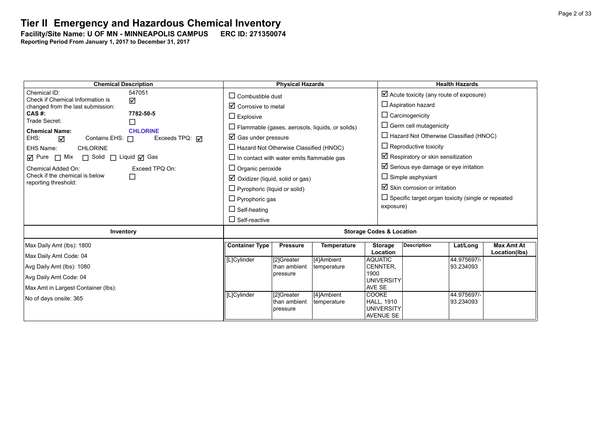#### **Tier II Emergency and Hazardous Chemical Inventory Facility/Site Name: U OF MN - MINNEAPOLIS CAMPUS-----ERC ID: 271350074**

| <b>Chemical Description</b>                                          | <b>Physical Hazards</b>                                |                                        |                           |                                                                            | <b>Health Hazards</b>                                     |                          |                                    |  |
|----------------------------------------------------------------------|--------------------------------------------------------|----------------------------------------|---------------------------|----------------------------------------------------------------------------|-----------------------------------------------------------|--------------------------|------------------------------------|--|
| Chemical ID:<br>547051<br>Check if Chemical Information is<br>☑      | $\Box$ Combustible dust                                |                                        |                           |                                                                            | $\boxtimes$ Acute toxicity (any route of exposure)        |                          |                                    |  |
| changed from the last submission:                                    | $\boxtimes$ Corrosive to metal                         |                                        |                           |                                                                            | $\Box$ Aspiration hazard                                  |                          |                                    |  |
| CAS #:<br>7782-50-5<br>Trade Secret:                                 | $\Box$ Explosive                                       |                                        |                           |                                                                            | $\Box$ Carcinogenicity                                    |                          |                                    |  |
| П<br><b>Chemical Name:</b><br><b>CHLORINE</b>                        | $\Box$ Flammable (gases, aerosols, liquids, or solids) |                                        |                           |                                                                            | $\Box$ Germ cell mutagenicity                             |                          |                                    |  |
| Exceeds TPQ: $\overline{M}$<br>EHS:<br>Contains EHS: $\Box$<br>☑     | $\boxtimes$ Gas under pressure                         |                                        |                           |                                                                            | $\Box$ Hazard Not Otherwise Classified (HNOC)             |                          |                                    |  |
| EHS Name:<br><b>CHLORINE</b>                                         | $\Box$ Hazard Not Otherwise Classified (HNOC)          |                                        |                           |                                                                            | $\Box$ Reproductive toxicity                              |                          |                                    |  |
| $\boxtimes$ Pure $\Box$ Mix<br>$\Box$ Solid $\Box$ Liquid $\Box$ Gas | $\Box$ In contact with water emits flammable gas       |                                        |                           |                                                                            | Respiratory or skin sensitization                         |                          |                                    |  |
| Chemical Added On:<br>Exceed TPQ On:                                 | $\Box$ Organic peroxide                                |                                        |                           |                                                                            | $\boxtimes$ Serious eye damage or eye irritation          |                          |                                    |  |
| Check if the chemical is below<br>П<br>reporting threshold:          | $\boxtimes$ Oxidizer (liquid, solid or gas)            |                                        |                           |                                                                            | $\Box$ Simple asphyxiant                                  |                          |                                    |  |
|                                                                      |                                                        | $\Box$ Pyrophoric (liquid or solid)    |                           |                                                                            | $\boxtimes$ Skin corrosion or irritation                  |                          |                                    |  |
|                                                                      | $\Box$ Pyrophoric gas                                  |                                        |                           |                                                                            | $\Box$ Specific target organ toxicity (single or repeated |                          |                                    |  |
|                                                                      | $\Box$ Self-heating                                    |                                        |                           |                                                                            | exposure)                                                 |                          |                                    |  |
|                                                                      | $\Box$ Self-reactive                                   |                                        |                           |                                                                            |                                                           |                          |                                    |  |
| Inventory                                                            |                                                        |                                        |                           | <b>Storage Codes &amp; Location</b>                                        |                                                           |                          |                                    |  |
| Max Daily Amt (lbs): 1800                                            | <b>Container Type</b>                                  | <b>Pressure</b>                        | <b>Temperature</b>        | <b>Storage</b><br>Location                                                 | <b>Description</b>                                        | Lat/Long                 | <b>Max Amt At</b><br>Location(lbs) |  |
| Max Daily Amt Code: 04                                               | [L]Cylinder                                            | [2]Greater                             | [4]Ambient                | <b>AQUATIC</b>                                                             |                                                           | 44.975697/-              |                                    |  |
| Avg Daily Amt (lbs): 1080                                            |                                                        | than ambient                           | temperature               | CENNTER.<br>1900                                                           |                                                           | 93.234093                |                                    |  |
| Avg Daily Amt Code: 04                                               |                                                        | pressure                               |                           | <b>UNIVERSITY</b>                                                          |                                                           |                          |                                    |  |
| Max Amt in Largest Container (lbs):                                  |                                                        |                                        |                           | AVE SE                                                                     |                                                           |                          |                                    |  |
| No of days onsite: 365                                               | [L]Cylinder                                            | [2]Greater<br>than ambient<br>pressure | [4]Ambient<br>temperature | <b>COOKE</b><br><b>HALL, 1910</b><br><b>UNIVERSITY</b><br><b>AVENUE SE</b> |                                                           | 44.975697/-<br>93.234093 |                                    |  |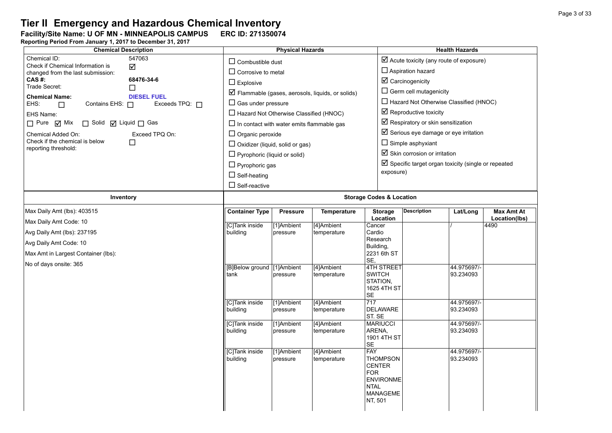**Facility/Site Name: U OF MN - MINNEAPOLIS CAMPUS-----ERC ID: 271350074**

| <b>Chemical Description</b>                                                                                                                                                                                                                                                                                                                                                                                                          |                                                                                                                                                                                                                                                                                                                                                                                                                                                                                                                                                                                                                                                                                                                                                                                                                                                                                                                                                                   | <b>Physical Hazards</b>                                                                                                             |                                                                                                                                                              |                                                                                                                                                                                                                                                                                                                                                                                                |                    | <b>Health Hazards</b>                                                                                                    |                                            |
|--------------------------------------------------------------------------------------------------------------------------------------------------------------------------------------------------------------------------------------------------------------------------------------------------------------------------------------------------------------------------------------------------------------------------------------|-------------------------------------------------------------------------------------------------------------------------------------------------------------------------------------------------------------------------------------------------------------------------------------------------------------------------------------------------------------------------------------------------------------------------------------------------------------------------------------------------------------------------------------------------------------------------------------------------------------------------------------------------------------------------------------------------------------------------------------------------------------------------------------------------------------------------------------------------------------------------------------------------------------------------------------------------------------------|-------------------------------------------------------------------------------------------------------------------------------------|--------------------------------------------------------------------------------------------------------------------------------------------------------------|------------------------------------------------------------------------------------------------------------------------------------------------------------------------------------------------------------------------------------------------------------------------------------------------------------------------------------------------------------------------------------------------|--------------------|--------------------------------------------------------------------------------------------------------------------------|--------------------------------------------|
| Chemical ID:<br>547063<br>Check if Chemical Information is<br>☑<br>changed from the last submission:<br>CAS#:<br>68476-34-6<br>Trade Secret:<br>□<br><b>Chemical Name:</b><br><b>DIESEL FUEL</b><br>EHS:<br>Contains EHS: 0<br>Exceeds $TPQ: \Box$<br>$\Box$<br>EHS Name:<br>$\Box$ Pure $\Box$ Mix<br>□ Solid ☑ Liquid □ Gas<br>Chemical Added On:<br>Exceed TPQ On:<br>Check if the chemical is below<br>□<br>reporting threshold: | $\boxtimes$ Acute toxicity (any route of exposure)<br>$\Box$ Combustible dust<br>$\Box$ Aspiration hazard<br>$\Box$ Corrosive to metal<br>$\boxtimes$ Carcinogenicity<br>$\Box$ Explosive<br>$\Box$ Germ cell mutagenicity<br>$\boxtimes$ Flammable (gases, aerosols, liquids, or solids)<br>$\Box$ Hazard Not Otherwise Classified (HNOC)<br>$\Box$ Gas under pressure<br>$\boxtimes$ Reproductive toxicity<br>$\Box$ Hazard Not Otherwise Classified (HNOC)<br>$\boxtimes$ Respiratory or skin sensitization<br>$\Box$ In contact with water emits flammable gas<br>$\boxtimes$ Serious eye damage or eye irritation<br>$\Box$ Organic peroxide<br>$\Box$ Simple asphyxiant<br>$\Box$ Oxidizer (liquid, solid or gas)<br>$\boxtimes$ Skin corrosion or irritation<br>$\Box$ Pyrophoric (liquid or solid)<br>$\boxtimes$ Specific target organ toxicity (single or repeated<br>$\Box$ Pyrophoric gas<br>exposure)<br>$\Box$ Self-heating<br>$\Box$ Self-reactive |                                                                                                                                     |                                                                                                                                                              |                                                                                                                                                                                                                                                                                                                                                                                                |                    |                                                                                                                          |                                            |
| Inventory                                                                                                                                                                                                                                                                                                                                                                                                                            |                                                                                                                                                                                                                                                                                                                                                                                                                                                                                                                                                                                                                                                                                                                                                                                                                                                                                                                                                                   |                                                                                                                                     |                                                                                                                                                              | <b>Storage Codes &amp; Location</b>                                                                                                                                                                                                                                                                                                                                                            |                    |                                                                                                                          |                                            |
| Max Daily Amt (lbs): 403515<br>Max Daily Amt Code: 10<br>Avg Daily Amt (lbs): 237195<br>Avg Daily Amt Code: 10<br>Max Amt in Largest Container (lbs):<br>No of days onsite: 365                                                                                                                                                                                                                                                      | <b>Container Type</b><br>[C]Tank inside<br>building<br>[B]Below ground [1]Ambient<br>tank<br>[C]Tank inside<br>building<br>[C]Tank inside<br>building<br>[C]Tank inside<br>building                                                                                                                                                                                                                                                                                                                                                                                                                                                                                                                                                                                                                                                                                                                                                                               | <b>Pressure</b><br>[1]Ambient<br>pressure<br>pressure<br>[1]Ambient<br>pressure<br>[1]Ambient<br>pressure<br>[1]Ambient<br>pressure | Temperature<br>[4]Ambient<br>temperature<br>[4]Ambient<br>temperature<br>[4]Ambient<br>temperature<br>[4]Ambient<br>temperature<br>[4]Ambient<br>temperature | <b>Storage</b><br>Location<br>Cancer<br>Cardio<br>Research<br>Building,<br>2231 6th ST<br>SE,<br><b>4TH STREET</b><br><b>SWITCH</b><br>STATION.<br>1625 4TH ST<br><b>SE</b><br>717<br><b>DELAWARE</b><br>ST. SE<br><b>MARIUCCI</b><br>ARENA,<br>1901 4TH ST<br><b>SE</b><br><b>FAY</b><br><b>THOMPSON</b><br><b>CENTER</b><br><b>FOR</b><br><b>ENVIRONME</b><br><b>NTAL</b><br><b>MANAGEME</b> | <b>Description</b> | Lat/Long<br>44.975697/-<br>93.234093<br>44.975697/-<br>93.234093<br>44.975697/-<br>93.234093<br>44.975697/-<br>93.234093 | <b>Max Amt At</b><br>Location(lbs)<br>4490 |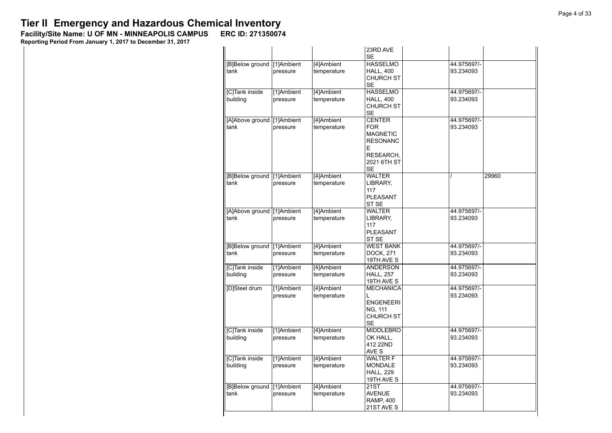**Facility/Site Name: U OF MN - MINNEAPOLIS CAMPUS-----ERC ID: 271350074**

|                                    |                        |                           | 23RD AVE<br><b>SE</b>                                                                                           |                          |
|------------------------------------|------------------------|---------------------------|-----------------------------------------------------------------------------------------------------------------|--------------------------|
| [B]Below ground<br>tank            | [1]Ambient<br>pressure | [4]Ambient<br>temperature | <b>HASSELMO</b><br><b>HALL, 400</b><br><b>CHURCH ST</b><br><b>SE</b>                                            | 44.975697/-<br>93.234093 |
| [C]Tank inside<br>building         | [1]Ambient<br>pressure | [4]Ambient<br>temperature | <b>HASSELMO</b><br><b>HALL, 400</b><br>CHURCH ST<br><b>SE</b>                                                   | 44.975697/-<br>93.234093 |
| [A]Above ground [1]Ambient<br>tank | pressure               | [4]Ambient<br>temperature | <b>CENTER</b><br><b>FOR</b><br><b>MAGNETIC</b><br><b>RESONANC</b><br>E<br>RESEARCH,<br>2021 6TH ST<br><b>SE</b> | 44.975697/-<br>93.234093 |
| [B]Below ground [1]Ambient<br>tank | pressure               | [4]Ambient<br>temperature | <b>WALTER</b><br>LIBRARY,<br>117<br><b>PLEASANT</b><br>ST <sub>SE</sub>                                         | 29960                    |
| [A]Above ground [1]Ambient<br>tank | pressure               | [4]Ambient<br>temperature | <b>WALTER</b><br>LIBRARY,<br>117<br>PLEASANT<br>ST SE                                                           | 44.975697/-<br>93.234093 |
| [B]Below ground<br>tank            | [1]Ambient<br>pressure | [4]Ambient<br>temperature | <b>WEST BANK</b><br>DOCK, 271<br>19TH AVE S                                                                     | 44.975697/-<br>93.234093 |
| [C]Tank inside<br>building         | [1]Ambient<br>pressure | [4]Ambient<br>temperature | <b>ANDERSON</b><br><b>HALL, 257</b><br>19TH AVE S                                                               | 44.975697/-<br>93.234093 |
| [D]Steel drum                      | [1]Ambient<br>pressure | [4]Ambient<br>temperature | <b>MECHANICA</b><br>L<br><b>ENGENEERI</b><br>NG, 111<br><b>CHURCH ST</b><br><b>SE</b>                           | 44.975697/-<br>93.234093 |
| [C]Tank inside<br>building         | [1]Ambient<br>pressure | [4]Ambient<br>temperature | <b>MIDDLEBRO</b><br>OK HALL.<br>412 22ND<br>AVE <sub>S</sub>                                                    | 44.975697/-<br>93.234093 |
| [C]Tank inside<br>building         | [1]Ambient<br>pressure | [4]Ambient<br>temperature | <b>WALTER F</b><br><b>MONDALE</b><br><b>HALL, 229</b><br>19TH AVE S                                             | 44.975697/-<br>93.234093 |
| [B]Below ground<br>tank            | [1]Ambient<br>pressure | [4]Ambient<br>temperature | 21ST<br><b>AVENUE</b><br><b>RAMP, 400</b><br>21ST AVE S                                                         | 44.975697/-<br>93.234093 |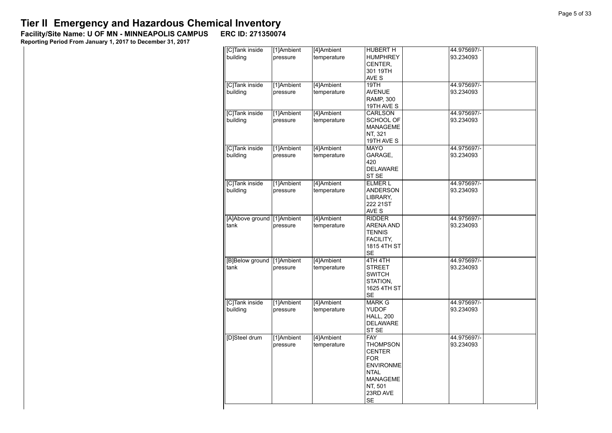**Facility/Site Name: U OF MN - MINNEAPOLIS CAMPUS-----ERC ID: 271350074**

| [C]Tank inside                     | [1]Ambient | [4]Ambient  | <b>HUBERT H</b>                   | 44.975697/-              |  |
|------------------------------------|------------|-------------|-----------------------------------|--------------------------|--|
| building                           | pressure   | temperature | <b>HUMPHREY</b>                   | 93.234093                |  |
|                                    |            |             | CENTER,                           |                          |  |
|                                    |            |             | 301 19TH                          |                          |  |
|                                    |            |             | AVE S                             |                          |  |
| [C]Tank inside                     | [1]Ambient | [4]Ambient  | 19TH                              | 44.975697/-              |  |
| building                           | pressure   | temperature | <b>AVENUE</b>                     | 93.234093                |  |
|                                    |            |             | <b>RAMP, 300</b>                  |                          |  |
|                                    |            |             | 19TH AVE S                        |                          |  |
| [C]Tank inside                     | [1]Ambient | [4]Ambient  | <b>CARLSON</b>                    | 44.975697/-              |  |
| building                           | pressure   | temperature | SCHOOL OF                         | 93.234093                |  |
|                                    |            |             | MANAGEME                          |                          |  |
|                                    |            |             | NT, 321                           |                          |  |
|                                    |            |             | 19TH AVE S                        |                          |  |
| [C]Tank inside                     | [1]Ambient | [4]Ambient  | <b>MAYO</b>                       | 44.975697/-              |  |
| building                           | pressure   | temperature | GARAGE,                           | 93.234093                |  |
|                                    |            |             | 420                               |                          |  |
|                                    |            |             | <b>DELAWARE</b>                   |                          |  |
|                                    |            |             | ST SE                             |                          |  |
| [C]Tank inside                     | [1]Ambient | [4]Ambient  | <b>ELMER L</b>                    | 44.975697/-              |  |
| building                           | pressure   | temperature | <b>ANDERSON</b>                   | 93.234093                |  |
|                                    |            |             | LIBRARY,                          |                          |  |
|                                    |            |             | 222 21ST                          |                          |  |
|                                    |            |             | AVE S                             |                          |  |
| [A]Above ground [1]Ambient<br>tank |            | [4]Ambient  | <b>RIDDER</b><br><b>ARENA AND</b> | 44.975697/-<br>93.234093 |  |
|                                    | pressure   | temperature |                                   |                          |  |
|                                    |            |             | TENNIS                            |                          |  |
|                                    |            |             | FACILITY,<br>1815 4TH ST          |                          |  |
|                                    |            |             | <b>SE</b>                         |                          |  |
| [B]Below ground [1]Ambient         |            | [4]Ambient  | 4TH 4TH                           | 44.975697/-              |  |
| tank                               | pressure   | temperature | <b>STREET</b>                     | 93.234093                |  |
|                                    |            |             | SWITCH                            |                          |  |
|                                    |            |             | STATION,                          |                          |  |
|                                    |            |             | 1625 4TH ST                       |                          |  |
|                                    |            |             | SE                                |                          |  |
| [C]Tank inside                     | [1]Ambient | [4]Ambient  | <b>MARK G</b>                     | 44.975697/-              |  |
| building                           | pressure   | temperature | <b>YUDOF</b>                      | 93.234093                |  |
|                                    |            |             | <b>HALL, 200</b>                  |                          |  |
|                                    |            |             | <b>DELAWARE</b>                   |                          |  |
|                                    |            |             | ST SE                             |                          |  |
| [D]Steel drum                      | [1]Ambient | [4]Ambient  | <b>FAY</b>                        | 44.975697/-              |  |
|                                    | pressure   | temperature | <b>THOMPSON</b>                   | 93.234093                |  |
|                                    |            |             | <b>CENTER</b>                     |                          |  |
|                                    |            |             | <b>FOR</b>                        |                          |  |
|                                    |            |             | <b>ENVIRONME</b>                  |                          |  |
|                                    |            |             | <b>NTAL</b>                       |                          |  |
|                                    |            |             | <b>MANAGEME</b>                   |                          |  |
|                                    |            |             | NT, 501                           |                          |  |
|                                    |            |             | 23RD AVE                          |                          |  |
|                                    |            |             | SE                                |                          |  |
|                                    |            |             |                                   |                          |  |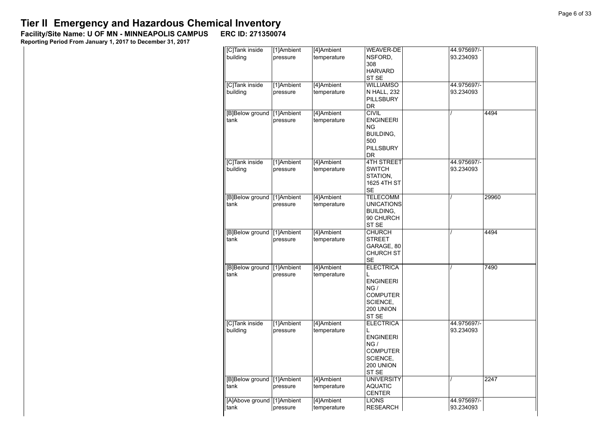**Facility/Site Name: U OF MN - MINNEAPOLIS CAMPUS-----ERC ID: 271350074**

| [C]Tank inside<br>building            | [1]Ambient<br>pressure | [4]Ambient<br>temperature | <b>WEAVER-DE</b><br>NSFORD,<br>308<br><b>HARVARD</b><br>ST SE                                         | 44.975697/-<br>93.234093 |       |
|---------------------------------------|------------------------|---------------------------|-------------------------------------------------------------------------------------------------------|--------------------------|-------|
| [C]Tank inside<br>building            | [1]Ambient<br>pressure | [4]Ambient<br>temperature | <b>WILLIAMSO</b><br>N HALL, 232<br>PILLSBURY<br>DR.                                                   | 44.975697/-<br>93.234093 |       |
| [B]Below ground<br>tank               | [1]Ambient<br>pressure | [4]Ambient<br>temperature | <b>CIVIL</b><br><b>ENGINEERI</b><br><b>NG</b><br>BUILDING,<br>500<br><b>PILLSBURY</b><br>DR.          |                          | 4494  |
| [C]Tank inside<br>building            | [1]Ambient<br>pressure | [4]Ambient<br>temperature | <b>4TH STREET</b><br><b>SWITCH</b><br>STATION,<br>1625 4TH ST<br>SE                                   | 44.975697/-<br>93.234093 |       |
| [B]Below ground [1]Ambient<br>tank    | pressure               | [4]Ambient<br>temperature | <b>TELECOMM</b><br><b>UNICATIONS</b><br>BUILDING,<br>90 CHURCH<br>ST <sub>SE</sub>                    |                          | 29960 |
| [B]Below ground<br>tank               | [1]Ambient<br>pressure | [4]Ambient<br>temperature | <b>CHURCH</b><br><b>STREET</b><br>GARAGE, 80<br><b>CHURCH ST</b><br><b>SE</b>                         |                          | 4494  |
| [B]Below ground   [1] Ambient<br>tank | pressure               | [4]Ambient<br>temperature | <b>ELECTRICA</b><br>Г<br><b>ENGINEERI</b><br>NG/<br><b>COMPUTER</b><br>SCIENCE,<br>200 UNION<br>ST SE |                          | 7490  |
| [C]Tank inside<br>building            | [1]Ambient<br>pressure | [4]Ambient<br>temperature | <b>ELECTRICA</b><br>L<br><b>ENGINEERI</b><br>NG/<br><b>COMPUTER</b><br>SCIENCE,<br>200 UNION<br>ST SE | 44.975697/-<br>93.234093 |       |
| [B]Below ground   [1] Ambient<br>tank | pressure               | [4]Ambient<br>temperature | <b>UNIVERSITY</b><br><b>AQUATIC</b><br><b>CENTER</b>                                                  |                          | 2247  |
| [A]Above ground   [1]Ambient<br>tank  | pressure               | [4]Ambient<br>temperature | <b>LIONS</b><br><b>RESEARCH</b>                                                                       | 44.975697/-<br>93.234093 |       |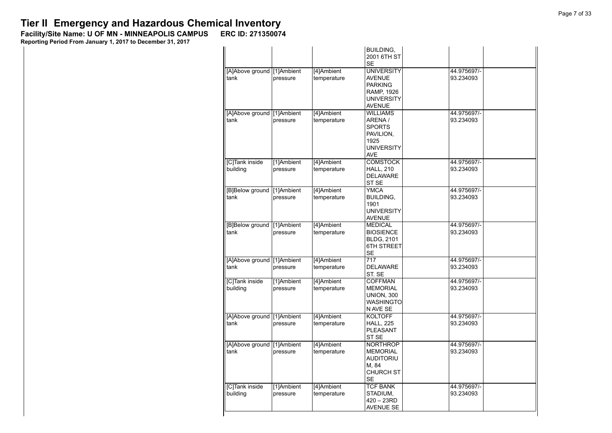**Facility/Site Name: U OF MN - MINNEAPOLIS CAMPUS-----ERC ID: 271350074**

|                              |            |             | <b>BUILDING,</b><br>2001 6TH ST |             |
|------------------------------|------------|-------------|---------------------------------|-------------|
|                              |            |             | SE                              |             |
| [A]Above ground [1]Ambient   |            | [4]Ambient  | <b>UNIVERSITY</b>               | 44.975697/- |
| tank                         | pressure   | temperature | <b>AVENUE</b>                   | 93.234093   |
|                              |            |             | <b>PARKING</b>                  |             |
|                              |            |             | RAMP, 1926                      |             |
|                              |            |             | <b>UNIVERSITY</b>               |             |
|                              |            |             | <b>AVENUE</b>                   |             |
| [A]Above ground [1]Ambient   |            | [4] Ambient | <b>WILLIAMS</b>                 | 44.975697/- |
| tank                         | pressure   | temperature | ARENA /                         | 93.234093   |
|                              |            |             | <b>SPORTS</b>                   |             |
|                              |            |             | PAVILION,                       |             |
|                              |            |             | 1925                            |             |
|                              |            |             | <b>UNIVERSITY</b>               |             |
|                              |            |             | <b>AVE</b>                      |             |
| [C]Tank inside               | [1]Ambient | [4]Ambient  | <b>COMSTOCK</b>                 | 44.975697/- |
| building                     | pressure   | temperature | <b>HALL, 210</b>                | 93.234093   |
|                              |            |             | <b>DELAWARE</b>                 |             |
|                              |            |             | ST SE                           |             |
| [B]Below ground              | [1]Ambient | [4]Ambient  | <b>YMCA</b>                     | 44.975697/- |
| tank                         | pressure   | temperature | <b>BUILDING.</b>                | 93.234093   |
|                              |            |             | 1901                            |             |
|                              |            |             | <b>UNIVERSITY</b>               |             |
|                              |            |             | <b>AVENUE</b>                   |             |
| [B]Below ground   [1]Ambient |            | [4]Ambient  | <b>MEDICAL</b>                  | 44.975697/- |
| tank                         | pressure   | temperature | <b>BIOSIENCE</b>                | 93.234093   |
|                              |            |             | <b>BLDG, 2101</b>               |             |
|                              |            |             | 6TH STREET                      |             |
|                              |            |             | SE                              |             |
| [A]Above ground [1]Ambient   |            | [4]Ambient  | 717                             | 44.975697/- |
| tank                         | pressure   | temperature | <b>DELAWARE</b>                 | 93.234093   |
|                              |            |             | ST. SE                          |             |
| [C]Tank inside               | [1]Ambient | [4]Ambient  | <b>COFFMAN</b>                  | 44.975697/- |
| building                     | pressure   | temperature | <b>MEMORIAL</b>                 | 93.234093   |
|                              |            |             | <b>UNION, 300</b>               |             |
|                              |            |             | <b>WASHINGTO</b>                |             |
|                              |            |             | N AVE SE                        |             |
| [A]Above ground [1]Ambient   |            | [4]Ambient  | <b>KOLTOFF</b>                  | 44.975697/- |
| tank                         | pressure   | temperature | <b>HALL, 225</b>                | 93.234093   |
|                              |            |             | PLEASANT                        |             |
|                              |            |             | ST <sub>SE</sub>                |             |
| [A]Above ground [1]Ambient   |            | [4]Ambient  | <b>NORTHROP</b>                 | 44.975697/- |
| tank                         | pressure   | temperature | <b>MEMORIAL</b>                 | 93.234093   |
|                              |            |             | <b>AUDITORIU</b>                |             |
|                              |            |             | M. 84                           |             |
|                              |            |             | <b>CHURCH ST</b>                |             |
|                              |            |             | <b>SE</b>                       |             |
| [C]Tank inside               | [1]Ambient | [4]Ambient  | <b>TCF BANK</b>                 | 44.975697/- |
| building                     | pressure   | temperature | STADIUM,                        | 93.234093   |
|                              |            |             | $420 - 23RD$                    |             |
|                              |            |             | <b>AVENUE SE</b>                |             |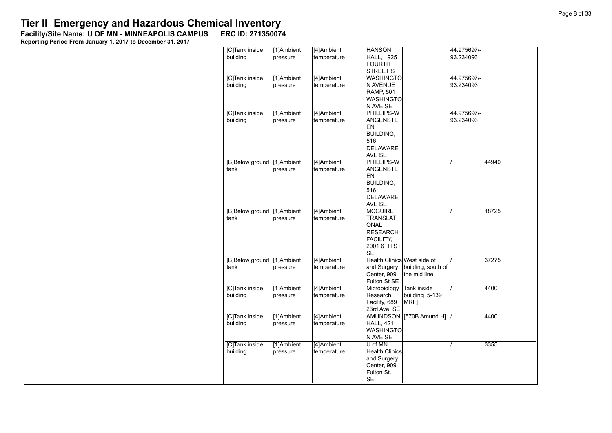**Facility/Site Name: U OF MN - MINNEAPOLIS CAMPUS-----ERC ID: 271350074**

| [C]Tank inside             | [1]Ambient | [4]Ambient  | <b>HANSON</b>               |                         | 44.975697/- |       |
|----------------------------|------------|-------------|-----------------------------|-------------------------|-------------|-------|
| building                   | pressure   | temperature | <b>HALL, 1925</b>           |                         | 93.234093   |       |
|                            |            |             | <b>FOURTH</b>               |                         |             |       |
|                            |            |             | <b>STREET S</b>             |                         |             |       |
| [C]Tank inside             | [1]Ambient | [4]Ambient  | <b>WASHINGTO</b>            |                         | 44.975697/- |       |
| building                   | pressure   | temperature | N AVENUE                    |                         | 93.234093   |       |
|                            |            |             | <b>RAMP, 501</b>            |                         |             |       |
|                            |            |             |                             |                         |             |       |
|                            |            |             | <b>WASHINGTO</b>            |                         |             |       |
|                            |            |             | N AVE SE                    |                         |             |       |
| [C]Tank inside             | [1]Ambient | [4]Ambient  | PHILLIPS-W                  |                         | 44.975697/- |       |
| building                   | pressure   | temperature | ANGENSTE                    |                         | 93.234093   |       |
|                            |            |             | EN                          |                         |             |       |
|                            |            |             | BUILDING,                   |                         |             |       |
|                            |            |             | 516                         |                         |             |       |
|                            |            |             | <b>DELAWARE</b>             |                         |             |       |
|                            |            |             | AVE SE                      |                         |             |       |
|                            |            |             |                             |                         |             |       |
| [B]Below ground            | [1]Ambient | [4]Ambient  | PHILLIPS-W                  |                         |             | 44940 |
| tank                       | pressure   | temperature | ANGENSTE                    |                         |             |       |
|                            |            |             | EN                          |                         |             |       |
|                            |            |             | <b>BUILDING,</b>            |                         |             |       |
|                            |            |             | 516                         |                         |             |       |
|                            |            |             | <b>DELAWARE</b>             |                         |             |       |
|                            |            |             | AVE SE                      |                         |             |       |
| [B]Below ground [1]Ambient |            | [4]Ambient  | <b>MCGUIRE</b>              |                         |             | 18725 |
| tank                       | pressure   | temperature | TRANSLATI                   |                         |             |       |
|                            |            |             | <b>ONAL</b>                 |                         |             |       |
|                            |            |             | <b>RESEARCH</b>             |                         |             |       |
|                            |            |             |                             |                         |             |       |
|                            |            |             | FACILITY,                   |                         |             |       |
|                            |            |             | 2001 6TH ST.                |                         |             |       |
|                            |            |             | <b>SE</b>                   |                         |             |       |
| [B]Below ground            | [1]Ambient | [4]Ambient  | Health Clinics West side of |                         |             | 37275 |
| tank                       | pressure   | temperature | and Surgery                 | building, south of      |             |       |
|                            |            |             | Center, 909                 | the mid line            |             |       |
|                            |            |             | Fulton St SE                |                         |             |       |
| [C]Tank inside             | [1]Ambient | [4]Ambient  | Microbiology                | Tank inside             |             | 4400  |
| building                   | pressure   | temperature | Research                    | building [5-139         |             |       |
|                            |            |             |                             |                         |             |       |
|                            |            |             | Facility, 689               | MRF]                    |             |       |
|                            |            |             | 23rd Ave. SE                |                         |             |       |
| [C]Tank inside             | [1]Ambient | [4]Ambient  |                             | AMUNDSON [570B Amund H] |             | 4400  |
| building                   | pressure   | temperature | <b>HALL, 421</b>            |                         |             |       |
|                            |            |             | <b>WASHINGTO</b>            |                         |             |       |
|                            |            |             | N AVE SE                    |                         |             |       |
| [C]Tank inside             | [1]Ambient | [4]Ambient  | U of MN                     |                         |             | 3355  |
| building                   | pressure   | temperature | <b>Health Clinics</b>       |                         |             |       |
|                            |            |             | and Surgery                 |                         |             |       |
|                            |            |             | Center, 909                 |                         |             |       |
|                            |            |             |                             |                         |             |       |
|                            |            |             | Fulton St.                  |                         |             |       |
|                            |            |             | SE.                         |                         |             |       |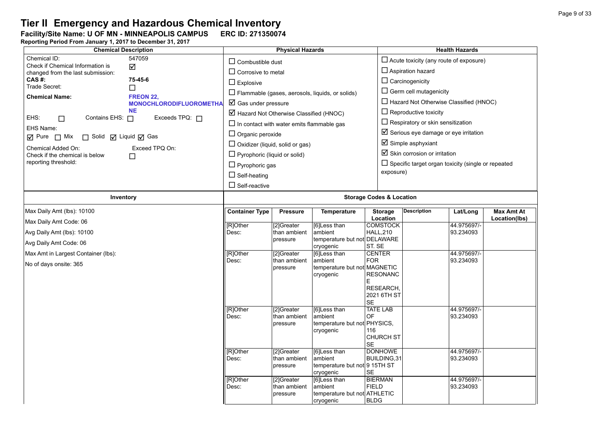**Facility/Site Name: U OF MN - MINNEAPOLIS CAMPUS-----ERC ID: 271350074**

|                                                                                                                                                                                                                                                                                                                                        | <b>Chemical Description</b>                                                                                                                                                                                                                                                                                                                               |                                             | <b>Physical Hazards</b>                                                          |                                                                                                                                               | <b>Health Hazards</b>                                                                                                                                                                                                                                                                                                                    |                                                      |                   |  |
|----------------------------------------------------------------------------------------------------------------------------------------------------------------------------------------------------------------------------------------------------------------------------------------------------------------------------------------|-----------------------------------------------------------------------------------------------------------------------------------------------------------------------------------------------------------------------------------------------------------------------------------------------------------------------------------------------------------|---------------------------------------------|----------------------------------------------------------------------------------|-----------------------------------------------------------------------------------------------------------------------------------------------|------------------------------------------------------------------------------------------------------------------------------------------------------------------------------------------------------------------------------------------------------------------------------------------------------------------------------------------|------------------------------------------------------|-------------------|--|
| Chemical ID:<br>Check if Chemical Information is<br>changed from the last submission:<br>CAS #:<br>Trade Secret:<br><b>Chemical Name:</b><br>EHS:<br>Contains EHS: $\Box$<br>$\Box$<br>EHS Name:<br>□ Solid □ Liquid □ Gas<br>$\nabla$ Pure $\Box$ Mix<br>Chemical Added On:<br>Check if the chemical is below<br>reporting threshold: | $\Box$ Combustible dust<br>$\Box$ Corrosive to metal<br>$\Box$ Explosive<br>$\boxtimes$ Gas under pressure<br>$\boxtimes$ Hazard Not Otherwise Classified (HNOC)<br>$\Box$ In contact with water emits flammable gas<br>$\Box$ Organic peroxide<br>$\Box$ Oxidizer (liquid, solid or gas)<br>$\Box$ Pyrophoric (liquid or solid)<br>$\Box$ Pyrophoric gas |                                             | $\Box$ Flammable (gases, aerosols, liquids, or solids)                           | $\Box$ Aspiration hazard<br>$\Box$ Carcinogenicity<br>$\Box$ Reproductive toxicity<br>$\boxtimes$ Simple asphyxiant                           | $\Box$ Acute toxicity (any route of exposure)<br>$\Box$ Germ cell mutagenicity<br>$\Box$ Hazard Not Otherwise Classified (HNOC)<br>$\Box$ Respiratory or skin sensitization<br>$\boxtimes$ Serious eye damage or eye irritation<br>$\boxtimes$ Skin corrosion or irritation<br>$\Box$ Specific target organ toxicity (single or repeated |                                                      |                   |  |
|                                                                                                                                                                                                                                                                                                                                        |                                                                                                                                                                                                                                                                                                                                                           | $\Box$ Self-heating<br>$\Box$ Self-reactive |                                                                                  |                                                                                                                                               | exposure)                                                                                                                                                                                                                                                                                                                                |                                                      |                   |  |
| Inventory                                                                                                                                                                                                                                                                                                                              |                                                                                                                                                                                                                                                                                                                                                           |                                             |                                                                                  |                                                                                                                                               | <b>Storage Codes &amp; Location</b>                                                                                                                                                                                                                                                                                                      |                                                      |                   |  |
| Max Daily Amt (lbs): 10100                                                                                                                                                                                                                                                                                                             |                                                                                                                                                                                                                                                                                                                                                           | <b>Container Type</b>                       | <b>Pressure</b>                                                                  | <b>Temperature</b>                                                                                                                            | <b>Storage</b><br><b>Description</b>                                                                                                                                                                                                                                                                                                     | Lat/Long                                             | <b>Max Amt At</b> |  |
| Max Daily Amt Code: 06<br>Avg Daily Amt (lbs): 10100<br>Avg Daily Amt Code: 06                                                                                                                                                                                                                                                         |                                                                                                                                                                                                                                                                                                                                                           | [R]Other<br>Desc:                           | [2]Greater<br>than ambient<br>pressure                                           | [6]Less than<br>ambient<br>temperature but not DELAWARE<br>cryogenic                                                                          | Location<br><b>COMSTOCK</b><br><b>HALL,210</b><br>ST. SE                                                                                                                                                                                                                                                                                 | 44.975697/-<br>93.234093                             | Location(lbs)     |  |
| Max Amt in Largest Container (lbs):<br>No of days onsite: 365                                                                                                                                                                                                                                                                          |                                                                                                                                                                                                                                                                                                                                                           | [R]Other<br>Desc:                           | [2]Greater<br>than ambient<br>pressure                                           | [6]Less than<br>ambient<br><b>FOR</b><br>temperature but not MAGNETIC<br>cryogenic<br><b>SE</b>                                               | <b>CENTER</b><br><b>RESONANC</b><br>RESEARCH,<br>2021 6TH ST                                                                                                                                                                                                                                                                             | 44.975697/-<br>93.234093                             |                   |  |
|                                                                                                                                                                                                                                                                                                                                        |                                                                                                                                                                                                                                                                                                                                                           | [R]Other<br>Desc:                           | [2]Greater<br>than ambient<br>pressure                                           | [6]Less than<br><b>OF</b><br>ambient<br>temperature but not PHYSICS,<br>cryogenic<br>116<br>SE                                                | <b>TATE LAB</b><br><b>CHURCH ST</b>                                                                                                                                                                                                                                                                                                      | 44.975697/-<br>93.234093                             |                   |  |
|                                                                                                                                                                                                                                                                                                                                        |                                                                                                                                                                                                                                                                                                                                                           | [R]Other<br>Desc:<br>[R]Other<br>Desc:      | [2]Greater<br>than ambient<br>pressure<br>[2]Greater<br>than ambient<br>pressure | [6]Less than<br>ambient<br>temperature but not 9 15TH ST<br><b>SE</b><br>cryogenic<br>[6]Less than<br>ambient<br>temperature but not ATHLETIC | <b>DONHOWE</b><br>BUILDING, 31<br><b>BIERMAN</b><br><b>FIELD</b>                                                                                                                                                                                                                                                                         | 44.975697/-<br>93.234093<br>44.975697/-<br>93.234093 |                   |  |
|                                                                                                                                                                                                                                                                                                                                        |                                                                                                                                                                                                                                                                                                                                                           |                                             |                                                                                  | cryogenic                                                                                                                                     | <b>BLDG</b>                                                                                                                                                                                                                                                                                                                              |                                                      |                   |  |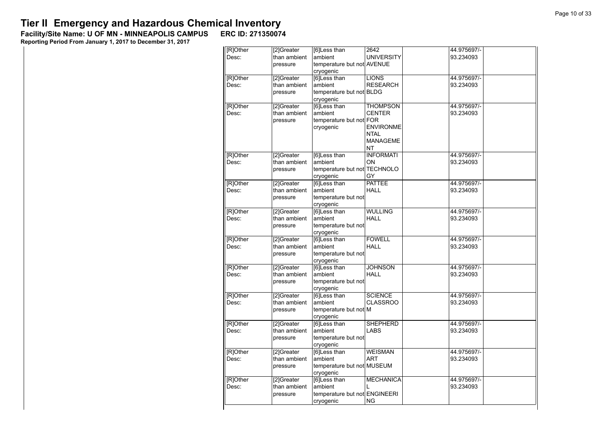**Facility/Site Name: U OF MN - MINNEAPOLIS CAMPUS-----ERC ID: 271350074**

| [R]Other          | [2]Greater                 | [6]Less than                  | 2642                         | 44.975697/-              |  |
|-------------------|----------------------------|-------------------------------|------------------------------|--------------------------|--|
| Desc:             | than ambient               | ambient                       | <b>UNIVERSITY</b>            | 93.234093                |  |
|                   | pressure                   | temperature but not AVENUE    |                              |                          |  |
|                   |                            | cryogenic                     |                              |                          |  |
| [R]Other          | [2]Greater                 | [6]Less than                  | <b>LIONS</b>                 | 44.975697/-              |  |
| Desc:             | than ambient               | ambient                       | <b>RESEARCH</b>              | 93.234093                |  |
|                   | pressure                   | temperature but not BLDG      |                              |                          |  |
|                   |                            | cryogenic                     |                              |                          |  |
| [R]Other          | [2]Greater                 | [6]Less than                  | <b>THOMPSON</b>              | 44.975697/-              |  |
| Desc:             | than ambient               | ambient                       | <b>CENTER</b>                | 93.234093                |  |
|                   | pressure                   | temperature but not FOR       |                              |                          |  |
|                   |                            | cryogenic                     | <b>ENVIRONME</b>             |                          |  |
|                   |                            |                               | <b>NTAL</b>                  |                          |  |
|                   |                            |                               | <b>MANAGEME</b><br><b>NT</b> |                          |  |
| [R]Other          | [2]Greater                 | [6]Less than                  | <b>INFORMATI</b>             | 44.975697/-              |  |
| Desc:             | than ambient               | ambient                       | ON                           | 93.234093                |  |
|                   | pressure                   | temperature but not TECHNOLO  |                              |                          |  |
|                   |                            | cryogenic                     | GY                           |                          |  |
| [R]Other          | [2]Greater                 | [6]Less than                  | <b>PATTEE</b>                | 44.975697/-              |  |
| Desc:             | than ambient               | ambient                       | <b>HALL</b>                  | 93.234093                |  |
|                   | pressure                   | temperature but not           |                              |                          |  |
|                   |                            | cryogenic                     |                              |                          |  |
| [R]Other          | [2]Greater                 | [6]Less than                  | <b>WULLING</b>               | 44.975697/-              |  |
| Desc:             | than ambient               | ambient                       | <b>HALL</b>                  | 93.234093                |  |
|                   | pressure                   | temperature but not           |                              |                          |  |
|                   |                            | cryogenic                     |                              |                          |  |
| [R]Other          | [2]Greater                 | [6]Less than                  | <b>FOWELL</b>                | 44.975697/-              |  |
| Desc:             | than ambient               | ambient                       | <b>HALL</b>                  | 93.234093                |  |
|                   | pressure                   | temperature but not           |                              |                          |  |
| [R]Other          | [2]Greater                 | cryogenic<br>[6]Less than     | <b>JOHNSON</b>               | 44.975697/-              |  |
| Desc:             | than ambient               | ambient                       | <b>HALL</b>                  | 93.234093                |  |
|                   | pressure                   | temperature but not           |                              |                          |  |
|                   |                            | cryogenic                     |                              |                          |  |
| [R]Other          | [2]Greater                 | [6]Less than                  | <b>SCIENCE</b>               | 44.975697/-              |  |
| Desc:             | than ambient               | ambient                       | <b>CLASSROO</b>              | 93.234093                |  |
|                   | pressure                   | temperature but not M         |                              |                          |  |
|                   |                            | cryogenic                     |                              |                          |  |
| [R]Other          | [2]Greater                 | [6]Less than                  | <b>SHEPHERD</b>              | 44.975697/-              |  |
| Desc:             | than ambient               | ambient                       | <b>LABS</b>                  | 93.234093                |  |
|                   | pressure                   | temperature but not           |                              |                          |  |
|                   |                            | cryogenic                     |                              |                          |  |
| [R]Other          | [2]Greater                 | [6]Less than                  | <b>WEISMAN</b>               | 44.975697/-              |  |
| Desc:             | than ambient               | ambient                       | <b>ART</b>                   | 93.234093                |  |
|                   | pressure                   | temperature but not MUSEUM    |                              |                          |  |
|                   |                            | cryogenic                     |                              |                          |  |
| [R]Other<br>Desc: | [2]Greater<br>than ambient | [6]Less than<br>ambient       | <b>MECHANICA</b><br>L        | 44.975697/-<br>93.234093 |  |
|                   | pressure                   | temperature but not ENGINEERI |                              |                          |  |
|                   |                            | cryogenic                     | <b>NG</b>                    |                          |  |
|                   |                            |                               |                              |                          |  |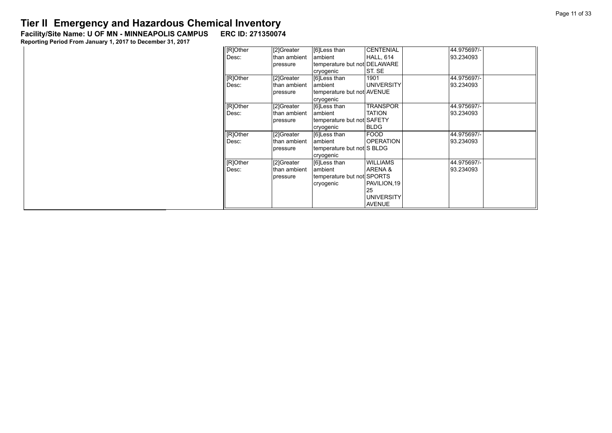**Facility/Site Name: U OF MN - MINNEAPOLIS CAMPUS-----ERC ID: 271350074**

| [R]Other | [2]Greater   | [6]Less than                 | <b>CENTENIAL</b>  | 44.975697/- |  |
|----------|--------------|------------------------------|-------------------|-------------|--|
| Desc:    | than ambient | ambient                      | <b>HALL, 614</b>  | 93.234093   |  |
|          | pressure     | temperature but not DELAWARE |                   |             |  |
|          |              | cryogenic                    | ST. SE            |             |  |
| [R]Other | [2]Greater   | [6]Less than                 | 1901              | 44.975697/- |  |
| Desc:    | than ambient | ambient                      | <b>UNIVERSITY</b> | 93.234093   |  |
|          | pressure     | temperature but not AVENUE   |                   |             |  |
|          |              | cryogenic                    |                   |             |  |
| [R]Other | [2]Greater   | [6]Less than                 | TRANSPOR          | 44.975697/- |  |
| Desc:    | than ambient | ambient                      | <b>TATION</b>     | 93.234093   |  |
|          | pressure     | temperature but not SAFETY   |                   |             |  |
|          |              | cryogenic                    | <b>BLDG</b>       |             |  |
| [R]Other | [2]Greater   | [6]Less than                 | <b>FOOD</b>       | 44.975697/- |  |
| Desc:    | than ambient | ambient                      | <b>OPERATION</b>  | 93.234093   |  |
|          | pressure     | temperature but not S BLDG   |                   |             |  |
|          |              | cryogenic                    |                   |             |  |
| [R]Other | [2]Greater   | [6]Less than                 | <b>WILLIAMS</b>   | 44.975697/- |  |
| Desc:    | than ambient | ambient                      | ARENA &           | 93.234093   |  |
|          | pressure     | temperature but not SPORTS   |                   |             |  |
|          |              | cryogenic                    | PAVILION, 19      |             |  |
|          |              |                              | 25                |             |  |
|          |              |                              | <b>UNIVERSITY</b> |             |  |
|          |              |                              | <b>AVENUE</b>     |             |  |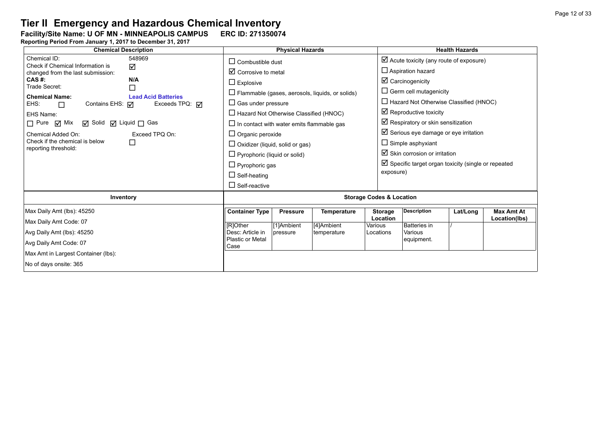**Facility/Site Name: U OF MN - MINNEAPOLIS CAMPUS-----ERC ID: 271350074**

| <b>Chemical Description</b>                                                                                                                                                                                                                                                                                                                                                           | <b>Physical Hazards</b>                                                                                                                                                                                                                                                                                                                                                             |                                           |                                                 |                                                    | <b>Health Hazards</b>                                                                                                                                                                                                                                                                                                                                                                                                                      |          |                                    |  |  |
|---------------------------------------------------------------------------------------------------------------------------------------------------------------------------------------------------------------------------------------------------------------------------------------------------------------------------------------------------------------------------------------|-------------------------------------------------------------------------------------------------------------------------------------------------------------------------------------------------------------------------------------------------------------------------------------------------------------------------------------------------------------------------------------|-------------------------------------------|-------------------------------------------------|----------------------------------------------------|--------------------------------------------------------------------------------------------------------------------------------------------------------------------------------------------------------------------------------------------------------------------------------------------------------------------------------------------------------------------------------------------------------------------------------------------|----------|------------------------------------|--|--|
| Chemical ID:<br>548969<br>Check if Chemical Information is<br>☑                                                                                                                                                                                                                                                                                                                       | $\Box$ Combustible dust                                                                                                                                                                                                                                                                                                                                                             |                                           |                                                 |                                                    | $\boxtimes$ Acute toxicity (any route of exposure)                                                                                                                                                                                                                                                                                                                                                                                         |          |                                    |  |  |
| changed from the last submission:<br>CAS #:<br>N/A<br>Trade Secret:<br>□<br><b>Chemical Name:</b><br><b>Lead Acid Batteries</b><br>Contains EHS: <b>√</b><br>EHS:<br>Exceeds TPQ: $\sqrt{ }$<br>$\Box$<br>EHS Name:<br><b>Ø</b> Solid Ø Liquid □ Gas<br>$\Box$ Pure $\Box$ Mix<br>Chemical Added On:<br>Exceed TPQ On:<br>Check if the chemical is below<br>□<br>reporting threshold: | $\boxtimes$ Corrosive to metal<br>$\Box$ Explosive<br>$\Box$ Flammable (gases, aerosols, liquids, or solids)<br>$\Box$ Gas under pressure<br>$\Box$ Hazard Not Otherwise Classified (HNOC)<br>$\Box$ In contact with water emits flammable gas<br>$\Box$ Organic peroxide<br>$\Box$ Oxidizer (liquid, solid or gas)<br>$\Box$ Pyrophoric (liquid or solid)<br>$\Box$ Pyrophoric gas |                                           |                                                 |                                                    | $\Box$ Aspiration hazard<br>$\boxtimes$ Carcinogenicity<br>$\Box$ Germ cell mutagenicity<br>$\Box$ Hazard Not Otherwise Classified (HNOC)<br>$\boxtimes$ Reproductive toxicity<br>$\boxtimes$ Respiratory or skin sensitization<br>$\boxtimes$ Serious eye damage or eye irritation<br>$\Box$ Simple asphyxiant<br>$\boxtimes$ Skin corrosion or irritation<br>$\boxtimes$ Specific target organ toxicity (single or repeated<br>exposure) |          |                                    |  |  |
|                                                                                                                                                                                                                                                                                                                                                                                       | $\Box$ Self-heating<br>$\Box$ Self-reactive                                                                                                                                                                                                                                                                                                                                         |                                           |                                                 |                                                    |                                                                                                                                                                                                                                                                                                                                                                                                                                            |          |                                    |  |  |
| Inventory                                                                                                                                                                                                                                                                                                                                                                             | <b>Storage Codes &amp; Location</b>                                                                                                                                                                                                                                                                                                                                                 |                                           |                                                 |                                                    |                                                                                                                                                                                                                                                                                                                                                                                                                                            |          |                                    |  |  |
| Max Daily Amt (lbs): 45250<br>Max Daily Amt Code: 07<br>Avg Daily Amt (lbs): 45250<br>Avg Daily Amt Code: 07<br>Max Amt in Largest Container (lbs):<br>No of days onsite: 365                                                                                                                                                                                                         | <b>Container Type</b><br>[R]Other<br>Desc: Article in<br>Plastic or Metal<br>Case                                                                                                                                                                                                                                                                                                   | <b>Pressure</b><br>[1]Ambient<br>pressure | <b>Temperature</b><br>[4]Ambient<br>temperature | <b>Storage</b><br>Location<br>Various<br>Locations | <b>Description</b><br><b>Batteries</b> in<br>Various<br>equipment.                                                                                                                                                                                                                                                                                                                                                                         | Lat/Long | <b>Max Amt At</b><br>Location(lbs) |  |  |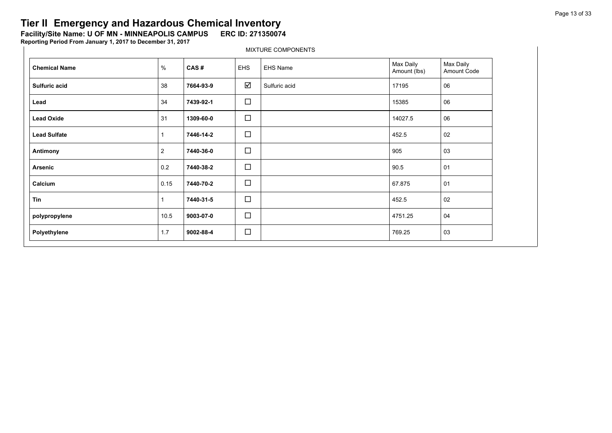**Facility/Site Name: U OF MN - MINNEAPOLIS CAMPUS-----ERC ID: 271350074**

**Reporting Period From January 1, 2017 to December 31, 2017**

MIXTURE COMPONENTS

| <b>Chemical Name</b> | $\%$           | CAS#      | <b>EHS</b> | EHS Name      | Max Daily<br>Amount (lbs) | Max Daily<br>Amount Code |
|----------------------|----------------|-----------|------------|---------------|---------------------------|--------------------------|
| Sulfuric acid        | 38             | 7664-93-9 | ☑          | Sulfuric acid | 17195                     | 06                       |
| Lead                 | 34             | 7439-92-1 | $\Box$     |               | 15385                     | 06                       |
| <b>Lead Oxide</b>    | 31             | 1309-60-0 | $\Box$     |               | 14027.5                   | 06                       |
| <b>Lead Sulfate</b>  | 1              | 7446-14-2 | $\Box$     |               | 452.5                     | 02                       |
| Antimony             | $\overline{2}$ | 7440-36-0 | $\Box$     |               | 905                       | 03                       |
| <b>Arsenic</b>       | 0.2            | 7440-38-2 | $\Box$     |               | 90.5                      | 01                       |
| Calcium              | 0.15           | 7440-70-2 | $\Box$     |               | 67.875                    | 01                       |
| Tin                  | 1              | 7440-31-5 | $\Box$     |               | 452.5                     | 02                       |
| polypropylene        | 10.5           | 9003-07-0 | $\Box$     |               | 4751.25                   | 04                       |
| Polyethylene         | 1.7            | 9002-88-4 | $\Box$     |               | 769.25                    | 03                       |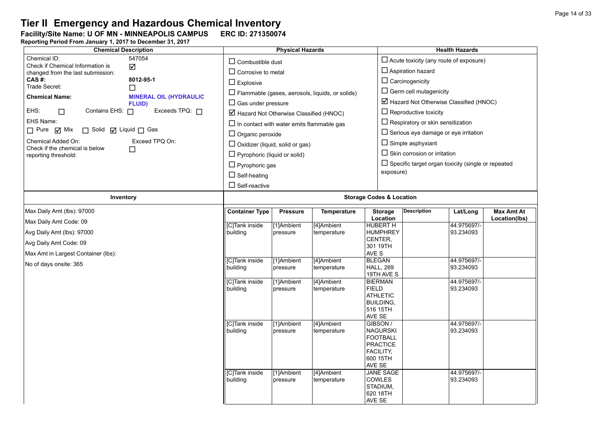**Facility/Site Name: U OF MN - MINNEAPOLIS CAMPUS-----ERC ID: 271350074**

| <b>Chemical Description</b>                                                                                                                                                                                                                                                                                                                                                                                                                           | <b>Physical Hazards</b>                                                                                                                                                                                                                                                                                                                                                                             |                                     |                                                        |                                                                                                      | <b>Health Hazards</b>                                                                                                                                                                                                                                                                                                                                                                                 |                          |                   |
|-------------------------------------------------------------------------------------------------------------------------------------------------------------------------------------------------------------------------------------------------------------------------------------------------------------------------------------------------------------------------------------------------------------------------------------------------------|-----------------------------------------------------------------------------------------------------------------------------------------------------------------------------------------------------------------------------------------------------------------------------------------------------------------------------------------------------------------------------------------------------|-------------------------------------|--------------------------------------------------------|------------------------------------------------------------------------------------------------------|-------------------------------------------------------------------------------------------------------------------------------------------------------------------------------------------------------------------------------------------------------------------------------------------------------------------------------------------------------------------------------------------------------|--------------------------|-------------------|
| Chemical ID:<br>547054<br>Check if Chemical Information is<br>☑<br>changed from the last submission:<br>CAS#:<br>8012-95-1<br>Trade Secret:<br>□<br><b>Chemical Name:</b><br><b>MINERAL OIL (HYDRAULIC</b><br><b>FLUID)</b><br>EHS:<br>Contains EHS: 0<br>Exceeds TPQ: □<br>П<br>EHS Name:<br>$\Box$ Pure $\Box$ Mix<br>□ Solid □ Liquid □ Gas<br>Chemical Added On:<br>Exceed TPQ On:<br>Check if the chemical is below<br>П<br>reporting threshold: | $\Box$ Combustible dust<br>$\Box$ Corrosive to metal<br>$\Box$ Explosive<br>$\Box$ Gas under pressure<br>$\boxtimes$ Hazard Not Otherwise Classified (HNOC)<br>$\Box$ In contact with water emits flammable gas<br>$\Box$ Organic peroxide<br>$\Box$ Oxidizer (liquid, solid or gas)<br>$\Box$ Pyrophoric (liquid or solid)<br>$\Box$ Pyrophoric gas<br>$\Box$ Self-heating<br>$\Box$ Self-reactive |                                     | $\Box$ Flammable (gases, aerosols, liquids, or solids) | $\Box$ Acute toxicity (any route of exposure)                                                        | $\Box$ Aspiration hazard<br>$\Box$ Carcinogenicity<br>$\Box$ Germ cell mutagenicity<br>Hazard Not Otherwise Classified (HNOC)<br>$\Box$ Reproductive toxicity<br>$\Box$ Respiratory or skin sensitization<br>$\Box$ Serious eye damage or eye irritation<br>$\Box$ Simple asphyxiant<br>$\Box$ Skin corrosion or irritation<br>$\Box$ Specific target organ toxicity (single or repeated<br>exposure) |                          |                   |
| Inventory                                                                                                                                                                                                                                                                                                                                                                                                                                             |                                                                                                                                                                                                                                                                                                                                                                                                     | <b>Storage Codes &amp; Location</b> |                                                        |                                                                                                      |                                                                                                                                                                                                                                                                                                                                                                                                       |                          |                   |
| Max Daily Amt (lbs): 97000                                                                                                                                                                                                                                                                                                                                                                                                                            | <b>Container Type</b>                                                                                                                                                                                                                                                                                                                                                                               | <b>Pressure</b>                     | Temperature                                            | <b>Storage</b>                                                                                       | <b>Description</b>                                                                                                                                                                                                                                                                                                                                                                                    | Lat/Long                 | <b>Max Amt At</b> |
| Max Daily Amt Code: 09<br>Avg Daily Amt (lbs): 97000<br>Avg Daily Amt Code: 09<br>Max Amt in Largest Container (lbs):                                                                                                                                                                                                                                                                                                                                 | [C]Tank inside<br>building                                                                                                                                                                                                                                                                                                                                                                          | [1]Ambient<br>pressure              | [4]Ambient<br>temperature                              | Location<br><b>HUBERT H</b><br><b>HUMPHREY</b><br>CENTER,<br>301 19TH<br>AVE S                       |                                                                                                                                                                                                                                                                                                                                                                                                       | 44.975697/-<br>93.234093 | Location(lbs)     |
| No of days onsite: 365                                                                                                                                                                                                                                                                                                                                                                                                                                | <b>[C]Tank inside</b><br>building                                                                                                                                                                                                                                                                                                                                                                   | [1]Ambient<br>pressure              | [4]Ambient<br>temperature                              | <b>BLEGAN</b><br><b>HALL, 269</b><br>19TH AVE S                                                      |                                                                                                                                                                                                                                                                                                                                                                                                       | 44.975697/-<br>93.234093 |                   |
|                                                                                                                                                                                                                                                                                                                                                                                                                                                       | <b>[C]Tank inside</b><br>building                                                                                                                                                                                                                                                                                                                                                                   | [1]Ambient<br>pressure              | [4]Ambient<br>temperature                              | <b>BIERMAN</b><br><b>FIELD</b><br><b>ATHLETIC</b><br><b>BUILDING.</b><br>516 15TH<br>AVE SE          |                                                                                                                                                                                                                                                                                                                                                                                                       | 44.975697/-<br>93.234093 |                   |
|                                                                                                                                                                                                                                                                                                                                                                                                                                                       | <b>[C]Tank</b> inside<br>building                                                                                                                                                                                                                                                                                                                                                                   | [1]Ambient<br>pressure              | [4]Ambient<br>temperature                              | GIBSON /<br><b>NAGURSKI</b><br><b>FOOTBALL</b><br><b>PRACTICE</b><br>FACILITY,<br>600 15TH<br>AVE SE |                                                                                                                                                                                                                                                                                                                                                                                                       | 44.975697/-<br>93.234093 |                   |
|                                                                                                                                                                                                                                                                                                                                                                                                                                                       | [C]Tank inside<br>building                                                                                                                                                                                                                                                                                                                                                                          | [1]Ambient<br>pressure              | [4]Ambient<br>temperature                              | JANE SAGE<br><b>COWLES</b><br>STADIUM,<br>620 18TH<br>AVE SE                                         |                                                                                                                                                                                                                                                                                                                                                                                                       | 44.975697/-<br>93.234093 |                   |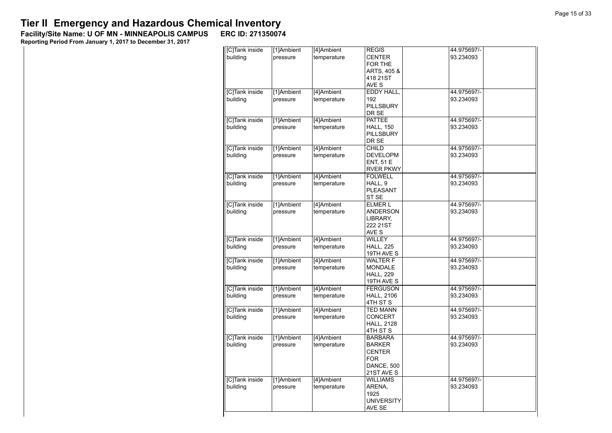**Facility/Site Name: U OF MN - MINNEAPOLIS CAMPUS-----ERC ID: 271350074**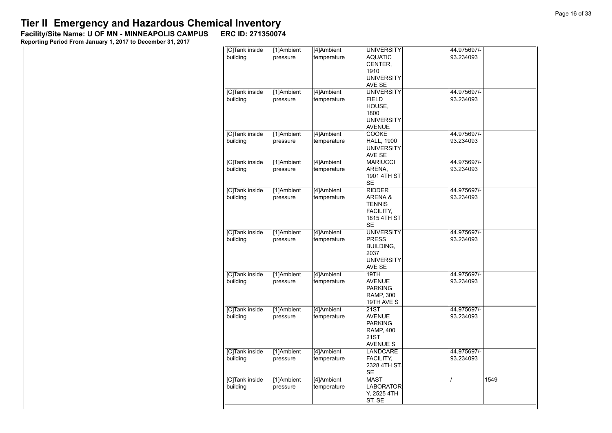**Facility/Site Name: U OF MN - MINNEAPOLIS CAMPUS-----ERC ID: 271350074**

| [C]Tank inside | [1]Ambient | [4]Ambient  | <b>UNIVERSITY</b> | 44.975697/- |  |
|----------------|------------|-------------|-------------------|-------------|--|
| building       | pressure   | temperature | AQUATIC           | 93.234093   |  |
|                |            |             | CENTER,           |             |  |
|                |            |             | 1910              |             |  |
|                |            |             |                   |             |  |
|                |            |             | <b>UNIVERSITY</b> |             |  |
|                |            |             | AVE SE            |             |  |
| [C]Tank inside | [1]Ambient | [4]Ambient  | <b>UNIVERSITY</b> | 44.975697/- |  |
| building       | pressure   | temperature | <b>FIELD</b>      | 93.234093   |  |
|                |            |             | HOUSE,            |             |  |
|                |            |             | 1800              |             |  |
|                |            |             | <b>UNIVERSITY</b> |             |  |
|                |            |             | <b>AVENUE</b>     |             |  |
| [C]Tank inside | [1]Ambient | [4]Ambient  | <b>COOKE</b>      | 44.975697/- |  |
| building       | pressure   | temperature | <b>HALL, 1900</b> | 93.234093   |  |
|                |            |             | <b>UNIVERSITY</b> |             |  |
|                |            |             | AVE SE            |             |  |
| [C]Tank inside | [1]Ambient | [4]Ambient  | <b>MARIUCCI</b>   | 44.975697/- |  |
| building       | pressure   | temperature | ARENA,            | 93.234093   |  |
|                |            |             | 1901 4TH ST       |             |  |
|                |            |             | <b>SE</b>         |             |  |
| [C]Tank inside | [1]Ambient | [4]Ambient  | <b>RIDDER</b>     | 44.975697/- |  |
| building       | pressure   | temperature | ARENA&            | 93.234093   |  |
|                |            |             |                   |             |  |
|                |            |             | <b>TENNIS</b>     |             |  |
|                |            |             | <b>FACILITY,</b>  |             |  |
|                |            |             | 1815 4TH ST       |             |  |
|                |            |             | <b>SE</b>         |             |  |
| [C]Tank inside | [1]Ambient | [4]Ambient  | <b>UNIVERSITY</b> | 44.975697/- |  |
| building       | pressure   | temperature | <b>PRESS</b>      | 93.234093   |  |
|                |            |             | <b>BUILDING,</b>  |             |  |
|                |            |             | 2037              |             |  |
|                |            |             | <b>UNIVERSITY</b> |             |  |
|                |            |             | AVE SE            |             |  |
| [C]Tank inside | [1]Ambient | [4]Ambient  | 19TH              | 44.975697/- |  |
| building       | pressure   | temperature | <b>AVENUE</b>     | 93.234093   |  |
|                |            |             | <b>PARKING</b>    |             |  |
|                |            |             | <b>RAMP, 300</b>  |             |  |
|                |            |             | 19TH AVE S        |             |  |
| [C]Tank inside | [1]Ambient | [4]Ambient  | 21ST              | 44.975697/- |  |
| building       | pressure   | temperature | <b>AVENUE</b>     | 93.234093   |  |
|                |            |             | <b>PARKING</b>    |             |  |
|                |            |             | <b>RAMP, 400</b>  |             |  |
|                |            |             | 21ST              |             |  |
|                |            |             | <b>AVENUE S</b>   |             |  |
| [C]Tank inside | [1]Ambient | [4]Ambient  | LANDCARE          | 44.975697/- |  |
|                |            |             |                   |             |  |
| building       | pressure   | temperature | FACILITY,         | 93.234093   |  |
|                |            |             | 2328 4TH ST.      |             |  |
|                |            |             | <b>SE</b>         |             |  |
| [C]Tank inside | [1]Ambient | [4]Ambient  | <b>MAST</b>       | 1549        |  |
| building       | pressure   | temperature | <b>LABORATOR</b>  |             |  |
|                |            |             | Y, 2525 4TH       |             |  |
|                |            |             | ST. SE            |             |  |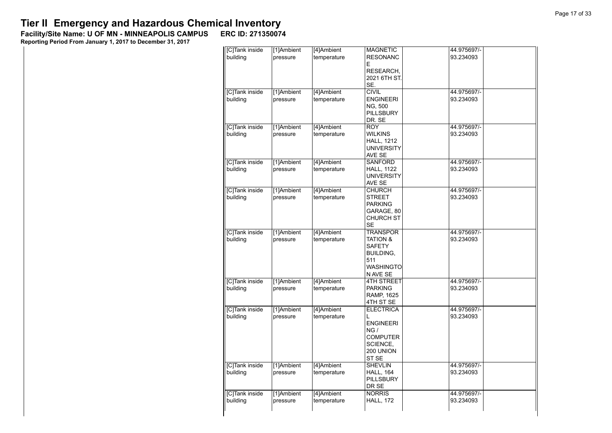**Facility/Site Name: U OF MN - MINNEAPOLIS CAMPUS-----ERC ID: 271350074**

| [C]Tank inside<br>building | [1]Ambient<br>pressure | [4]Ambient<br>temperature | <b>MAGNETIC</b><br><b>RESONANC</b><br>Е<br>RESEARCH,<br>2021 6TH ST.<br>SE.                           | 44.975697/-<br>93.234093 |  |
|----------------------------|------------------------|---------------------------|-------------------------------------------------------------------------------------------------------|--------------------------|--|
| [C]Tank inside<br>building | [1]Ambient<br>pressure | [4]Ambient<br>temperature | <b>CIVIL</b><br><b>ENGINEERI</b><br>NG, 500<br><b>PILLSBURY</b><br>DR. SE                             | 44.975697/-<br>93.234093 |  |
| [C]Tank inside<br>building | [1]Ambient<br>pressure | [4]Ambient<br>temperature | <b>ROY</b><br><b>WILKINS</b><br><b>HALL, 1212</b><br><b>UNIVERSITY</b><br>AVE SE                      | 44.975697/-<br>93.234093 |  |
| [C]Tank inside<br>building | [1]Ambient<br>pressure | [4]Ambient<br>temperature | <b>SANFORD</b><br><b>HALL, 1122</b><br><b>UNIVERSITY</b><br>AVE SE                                    | 44.975697/-<br>93.234093 |  |
| [C]Tank inside<br>building | [1]Ambient<br>pressure | [4]Ambient<br>temperature | <b>CHURCH</b><br><b>STREET</b><br><b>PARKING</b><br>GARAGE, 80<br><b>CHURCH ST</b><br><b>SE</b>       | 44.975697/-<br>93.234093 |  |
| [C]Tank inside<br>building | [1]Ambient<br>pressure | [4]Ambient<br>temperature | TRANSPOR<br><b>TATION &amp;</b><br>SAFETY<br>BUILDING,<br>511<br><b>WASHINGTO</b><br>N AVE SE         | 44.975697/-<br>93.234093 |  |
| [C]Tank inside<br>building | [1]Ambient<br>pressure | [4]Ambient<br>temperature | <b>4TH STREET</b><br><b>PARKING</b><br>RAMP, 1625<br>4TH ST SE                                        | 44.975697/-<br>93.234093 |  |
| [C]Tank inside<br>building | [1]Ambient<br>pressure | [4]Ambient<br>temperature | <b>ELECTRICA</b><br>L<br><b>ENGINEERI</b><br>NG/<br><b>COMPUTER</b><br>SCIENCE,<br>200 UNION<br>ST SE | 44.975697/-<br>93.234093 |  |
| [C]Tank inside<br>building | [1]Ambient<br>pressure | [4]Ambient<br>temperature | <b>SHEVLIN</b><br><b>HALL, 164</b><br><b>PILLSBURY</b><br>DR SE                                       | 44.975697/-<br>93.234093 |  |
| [C]Tank inside<br>building | [1]Ambient<br>pressure | [4]Ambient<br>temperature | <b>NORRIS</b><br><b>HALL, 172</b>                                                                     | 44.975697/-<br>93.234093 |  |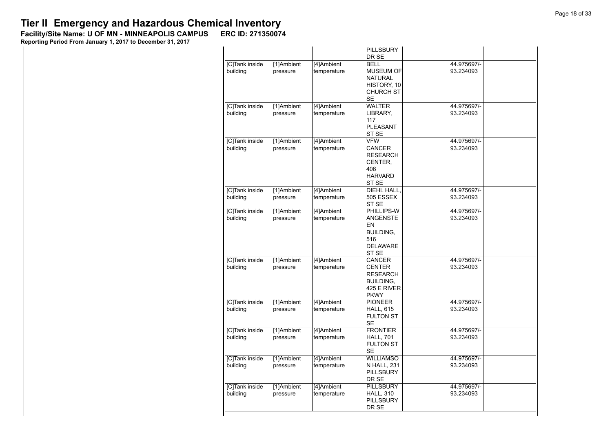**Facility/Site Name: U OF MN - MINNEAPOLIS CAMPUS-----ERC ID: 271350074**

|                                   |                        |                           | PILLSBURY<br>DR SE                                                                                  |                          |
|-----------------------------------|------------------------|---------------------------|-----------------------------------------------------------------------------------------------------|--------------------------|
| [C]Tank inside<br>building        | [1]Ambient<br>pressure | [4]Ambient<br>temperature | <b>BELL</b><br><b>MUSEUM OF</b><br><b>NATURAL</b><br>HISTORY, 10<br><b>CHURCH ST</b><br><b>SE</b>   | 44.975697/-<br>93.234093 |
| [C]Tank inside<br>building        | [1]Ambient<br>pressure | [4]Ambient<br>temperature | <b>WALTER</b><br>LIBRARY,<br>117<br>PLEASANT<br>ST SE                                               | 44.975697/-<br>93.234093 |
| [C]Tank inside<br>building        | [1]Ambient<br>pressure | [4]Ambient<br>temperature | <b>VFW</b><br><b>CANCER</b><br><b>RESEARCH</b><br>CENTER,<br>406<br><b>HARVARD</b><br>ST SE         | 44.975697/-<br>93.234093 |
| [C]Tank inside<br>building        | [1]Ambient<br>pressure | [4]Ambient<br>temperature | DIEHL HALL.<br>505 ESSEX<br>ST SE                                                                   | 44.975697/-<br>93.234093 |
| [C]Tank inside<br>building        | [1]Ambient<br>pressure | [4]Ambient<br>temperature | PHILLIPS-W<br><b>ANGENSTE</b><br>EN<br>BUILDING,<br>516<br><b>DELAWARE</b><br>ST SE                 | 44.975697/-<br>93.234093 |
| [C]Tank inside<br>building        | [1]Ambient<br>pressure | [4]Ambient<br>temperature | <b>CANCER</b><br><b>CENTER</b><br><b>RESEARCH</b><br><b>BUILDING,</b><br>425 E RIVER<br><b>PKWY</b> | 44.975697/-<br>93.234093 |
| <b>[C]Tank</b> inside<br>building | [1]Ambient<br>pressure | [4]Ambient<br>temperature | <b>PIONEER</b><br><b>HALL, 615</b><br><b>FULTON ST</b><br><b>SE</b>                                 | 44.975697/-<br>93.234093 |
| <b>[C]Tank</b> inside<br>building | [1]Ambient<br>pressure | [4]Ambient<br>temperature | <b>FRONTIER</b><br><b>HALL, 701</b><br><b>FULTON ST</b><br><b>SE</b>                                | 44.975697/-<br>93.234093 |
| [C]Tank inside<br>building        | [1]Ambient<br>pressure | [4]Ambient<br>temperature | <b>WILLIAMSO</b><br>N HALL, 231<br><b>PILLSBURY</b><br>DR SE                                        | 44.975697/-<br>93.234093 |
| [C]Tank inside<br>building        | [1]Ambient<br>pressure | [4]Ambient<br>temperature | <b>PILLSBURY</b><br><b>HALL, 310</b><br><b>PILLSBURY</b><br>DR SE                                   | 44.975697/-<br>93.234093 |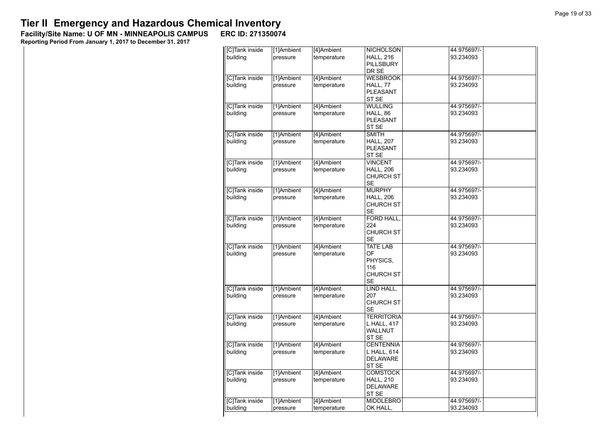**Facility/Site Name: U OF MN - MINNEAPOLIS CAMPUS-----ERC ID: 271350074**

| [C]Tank inside<br>building | [1] Ambient<br>pressure | [4]Ambient<br>temperature | <b>NICHOLSON</b><br><b>HALL, 216</b><br><b>PILLSBURY</b><br>DR SE  | 44.975697/-<br>93.234093 |  |
|----------------------------|-------------------------|---------------------------|--------------------------------------------------------------------|--------------------------|--|
| [C]Tank inside<br>building | [1]Ambient<br>pressure  | [4]Ambient<br>temperature | <b>WESBROOK</b><br>HALL, 77<br>PLEASANT<br>ST SE                   | 44.975697/-<br>93.234093 |  |
| [C]Tank inside<br>building | [1]Ambient<br>pressure  | [4]Ambient<br>temperature | <b>WULLING</b><br>HALL, 86<br>PLEASANT<br>ST SE                    | 44.975697/-<br>93.234093 |  |
| [C]Tank inside<br>building | [1]Ambient<br>pressure  | [4]Ambient<br>temperature | <b>SMITH</b><br><b>HALL, 207</b><br>PLEASANT<br>ST SE              | 44.975697/-<br>93.234093 |  |
| [C]Tank inside<br>building | [1]Ambient<br>pressure  | [4]Ambient<br>temperature | VINCENT<br><b>HALL, 206</b><br>CHURCH ST<br>SE                     | 44.975697/-<br>93.234093 |  |
| [C]Tank inside<br>building | [1]Ambient<br>pressure  | [4]Ambient<br>temperature | <b>MURPHY</b><br><b>HALL, 206</b><br><b>CHURCH ST</b><br><b>SE</b> | 44.975697/-<br>93.234093 |  |
| [C]Tank inside<br>building | [1]Ambient<br>pressure  | [4]Ambient<br>temperature | FORD HALL,<br>224<br><b>CHURCH ST</b><br>SE                        | 44.975697/-<br>93.234093 |  |
| [C]Tank inside<br>building | [1]Ambient<br>pressure  | [4]Ambient<br>temperature | <b>TATE LAB</b><br>OF<br>PHYSICS,<br>116<br><b>CHURCH ST</b><br>SE | 44.975697/-<br>93.234093 |  |
| [C]Tank inside<br>building | [1]Ambient<br>pressure  | [4]Ambient<br>temperature | LIND HALL,<br>207<br><b>CHURCH ST</b><br>SE                        | 44.975697/-<br>93.234093 |  |
| [C]Tank inside<br>building | [1]Ambient<br>pressure  | [4]Ambient<br>temperature | <b>TERRITORIA</b><br>L HALL, 417<br>WALLNUT<br>ST SE               | 44.975697/-<br>93.234093 |  |
| [C]Tank inside<br>building | [1]Ambient<br>pressure  | [4]Ambient<br>temperature | CENTENNIA<br>L HALL, 614<br><b>DELAWARE</b><br>ST SE               | 44.975697/-<br>93.234093 |  |
| [C]Tank inside<br>building | [1]Ambient<br>pressure  | [4]Ambient<br>temperature | <b>COMSTOCK</b><br><b>HALL, 210</b><br><b>DELAWARE</b><br>ST SE    | 44.975697/-<br>93.234093 |  |
| [C]Tank inside<br>building | [1]Ambient<br>pressure  | [4]Ambient<br>temperature | <b>MIDDLEBRO</b><br>OK HALL,                                       | 44.975697/-<br>93.234093 |  |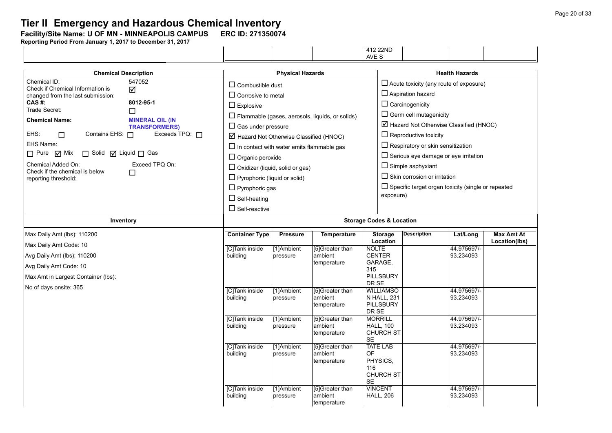# **Tier II Emergency and Hazardous Chemical Inventory**<br>Facility/Site Name: U OF MN - MINNEAPOLIS CAMPUS ERC ID: 271350074

**Facility/Site Name: U OF MN - MINNEAPOLIS CAMPUS-----ERC ID: 271350074**

**Reporting Period From January 1, 2017 to December 31, 2017**

|                                                                                                                                                                                                                                                                                                                                |                                                                                                                                    |                                                                                                                                                                                                  |                                                                                                                                                  |                                                                                        | 412 22ND<br>AVE S                                                                                                            |                                                                                                                                                                                                                                                                                                                                                                                                                                                       |                                                      |                                    |  |
|--------------------------------------------------------------------------------------------------------------------------------------------------------------------------------------------------------------------------------------------------------------------------------------------------------------------------------|------------------------------------------------------------------------------------------------------------------------------------|--------------------------------------------------------------------------------------------------------------------------------------------------------------------------------------------------|--------------------------------------------------------------------------------------------------------------------------------------------------|----------------------------------------------------------------------------------------|------------------------------------------------------------------------------------------------------------------------------|-------------------------------------------------------------------------------------------------------------------------------------------------------------------------------------------------------------------------------------------------------------------------------------------------------------------------------------------------------------------------------------------------------------------------------------------------------|------------------------------------------------------|------------------------------------|--|
| <b>Chemical Description</b>                                                                                                                                                                                                                                                                                                    |                                                                                                                                    |                                                                                                                                                                                                  | <b>Physical Hazards</b>                                                                                                                          |                                                                                        |                                                                                                                              | <b>Health Hazards</b>                                                                                                                                                                                                                                                                                                                                                                                                                                 |                                                      |                                    |  |
| Chemical ID:<br>Check if Chemical Information is<br>changed from the last submission:<br>CAS#:<br>Trade Secret:<br><b>Chemical Name:</b><br>EHS:<br>Contains EHS: 0<br>$\Box$<br>EHS Name:<br>□ Solid □ Liquid □ Gas<br>$\Box$ Pure $\Box$ Mix<br>Chemical Added On:<br>Check if the chemical is below<br>reporting threshold: | 547052<br>☑<br>8012-95-1<br>□<br><b>MINERAL OIL (IN</b><br><b>TRANSFORMERS)</b><br>Exceeds $TPQ: \Box$<br>Exceed TPQ On:<br>$\Box$ | $\Box$ Combustible dust<br>$\Box$ Corrosive to metal<br>$\Box$ Explosive<br>$\Box$ Gas under pressure<br>$\Box$ Organic peroxide<br>$\Box$ Pyrophoric (liquid or solid)<br>$\Box$ Pyrophoric gas | $\boxtimes$ Hazard Not Otherwise Classified (HNOC)<br>$\Box$ In contact with water emits flammable gas<br>$\Box$ Oxidizer (liquid, solid or gas) | $\Box$ Flammable (gases, aerosols, liquids, or solids)                                 |                                                                                                                              | $\Box$ Acute toxicity (any route of exposure)<br>$\Box$ Aspiration hazard<br>$\Box$ Carcinogenicity<br>$\Box$ Germ cell mutagenicity<br>$\boxtimes$ Hazard Not Otherwise Classified (HNOC)<br>$\Box$ Reproductive toxicity<br>$\Box$ Respiratory or skin sensitization<br>$\Box$ Serious eye damage or eye irritation<br>$\Box$ Simple asphyxiant<br>$\Box$ Skin corrosion or irritation<br>$\Box$ Specific target organ toxicity (single or repeated |                                                      |                                    |  |
| Inventory                                                                                                                                                                                                                                                                                                                      |                                                                                                                                    | exposure)<br>$\Box$ Self-heating<br>$\Box$ Self-reactive<br><b>Storage Codes &amp; Location</b>                                                                                                  |                                                                                                                                                  |                                                                                        |                                                                                                                              |                                                                                                                                                                                                                                                                                                                                                                                                                                                       |                                                      |                                    |  |
| Max Daily Amt (lbs): 110200<br>Max Daily Amt Code: 10<br>Avg Daily Amt (lbs): 110200<br>Avg Daily Amt Code: 10<br>Max Amt in Largest Container (lbs):                                                                                                                                                                          |                                                                                                                                    | <b>Container Type</b><br>[C]Tank inside<br>building                                                                                                                                              | <b>Pressure</b><br>[1]Ambient<br>pressure                                                                                                        | <b>Temperature</b><br>[5]Greater than<br>ambient<br>temperature                        | <b>Storage</b><br>Location<br><b>NOLTE</b><br><b>CENTER</b><br>GARAGE,<br>315<br><b>PILLSBURY</b><br>DR SE                   | <b>Description</b>                                                                                                                                                                                                                                                                                                                                                                                                                                    | Lat/Long<br>44.975697/-<br>93.234093                 | <b>Max Amt At</b><br>Location(lbs) |  |
| No of days onsite: 365                                                                                                                                                                                                                                                                                                         |                                                                                                                                    | [C]Tank inside<br>building<br>[C]Tank inside<br>building                                                                                                                                         | [1]Ambient<br>pressure<br>[1]Ambient<br>pressure                                                                                                 | [5]Greater than<br>ambient<br>temperature<br>[5]Greater than<br>ambient<br>temperature | <b>WILLIAMSO</b><br>N HALL, 231<br><b>PILLSBURY</b><br>DR SE<br><b>MORRILL</b><br><b>HALL. 100</b><br><b>CHURCH ST</b><br>SE |                                                                                                                                                                                                                                                                                                                                                                                                                                                       | 44.975697/-<br>93.234093<br>44.975697/-<br>93.234093 |                                    |  |
|                                                                                                                                                                                                                                                                                                                                |                                                                                                                                    | [C]Tank inside<br>building                                                                                                                                                                       | [1]Ambient<br>pressure                                                                                                                           | [5]Greater than<br>ambient<br>temperature                                              | <b>TATE LAB</b><br>OF<br>PHYSICS,<br>116<br><b>CHURCH ST</b><br><b>SE</b>                                                    |                                                                                                                                                                                                                                                                                                                                                                                                                                                       | 44.975697/-<br>93.234093                             |                                    |  |
|                                                                                                                                                                                                                                                                                                                                |                                                                                                                                    | [C]Tank inside<br>building                                                                                                                                                                       | [1]Ambient<br>pressure                                                                                                                           | [5]Greater than<br>ambient<br>temperature                                              | <b>VINCENT</b><br><b>HALL, 206</b>                                                                                           |                                                                                                                                                                                                                                                                                                                                                                                                                                                       | 44.975697/-<br>93.234093                             |                                    |  |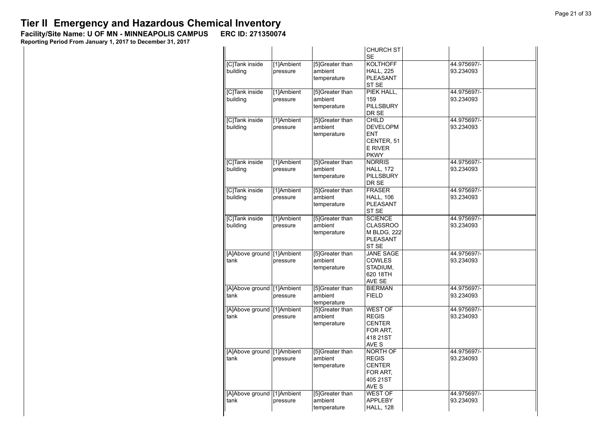**Facility/Site Name: U OF MN - MINNEAPOLIS CAMPUS-----ERC ID: 271350074**

|                                    |                        |                                           | <b>CHURCH ST</b><br><b>SE</b>                                                           |                          |
|------------------------------------|------------------------|-------------------------------------------|-----------------------------------------------------------------------------------------|--------------------------|
| [C]Tank inside<br>building         | [1]Ambient<br>pressure | [5]Greater than<br>ambient<br>temperature | <b>KOLTHOFF</b><br><b>HALL, 225</b><br>PLEASANT<br>ST SE                                | 44.975697/-<br>93.234093 |
| [C]Tank inside<br>building         | [1]Ambient<br>pressure | [5]Greater than<br>ambient<br>temperature | PIEK HALL,<br>159<br><b>PILLSBURY</b><br>DR SE                                          | 44.975697/-<br>93.234093 |
| [C]Tank inside<br>building         | [1]Ambient<br>pressure | [5]Greater than<br>ambient<br>temperature | <b>CHILD</b><br><b>DEVELOPM</b><br><b>ENT</b><br>CENTER, 51<br>E RIVER<br><b>PKWY</b>   | 44.975697/-<br>93.234093 |
| [C]Tank inside<br>building         | [1]Ambient<br>pressure | [5]Greater than<br>ambient<br>temperature | <b>NORRIS</b><br><b>HALL. 172</b><br><b>PILLSBURY</b><br>DR SE                          | 44.975697/-<br>93.234093 |
| [C]Tank inside<br>building         | [1]Ambient<br>pressure | [5]Greater than<br>ambient<br>temperature | <b>FRASER</b><br><b>HALL, 106</b><br><b>PLEASANT</b><br>ST <sub>SE</sub>                | 44.975697/-<br>93.234093 |
| [C]Tank inside<br>building         | [1]Ambient<br>pressure | [5]Greater than<br>ambient<br>temperature | <b>SCIENCE</b><br><b>CLASSROO</b><br><b>M BLDG, 222</b><br>PLEASANT<br>ST <sub>SE</sub> | 44.975697/-<br>93.234093 |
| [A]Above ground [1]Ambient<br>tank | pressure               | [5]Greater than<br>ambient<br>temperature | <b>JANE SAGE</b><br><b>COWLES</b><br>STADIUM,<br>620 18TH<br>AVE SE                     | 44.975697/-<br>93.234093 |
| [A]Above ground [1]Ambient<br>tank | pressure               | [5]Greater than<br>ambient<br>temperature | <b>BIERMAN</b><br><b>FIELD</b>                                                          | 44.975697/-<br>93.234093 |
| [A]Above ground<br>tank            | [1]Ambient<br>pressure | [5]Greater than<br>ambient<br>temperature | <b>WEST OF</b><br><b>REGIS</b><br><b>CENTER</b><br>FOR ART.<br>418 21ST<br>AVE S        | 44.975697/-<br>93.234093 |
| [A]Above ground [1]Ambient<br>tank | pressure               | [5]Greater than<br>ambient<br>temperature | NORTH OF<br><b>REGIS</b><br><b>CENTER</b><br>FOR ART.<br>405 21ST<br>AVE S              | 44.975697/-<br>93.234093 |
| [A]Above ground [1]Ambient<br>tank | pressure               | [5]Greater than<br>ambient<br>temperature | <b>WEST OF</b><br><b>APPLEBY</b><br><b>HALL, 128</b>                                    | 44.975697/-<br>93.234093 |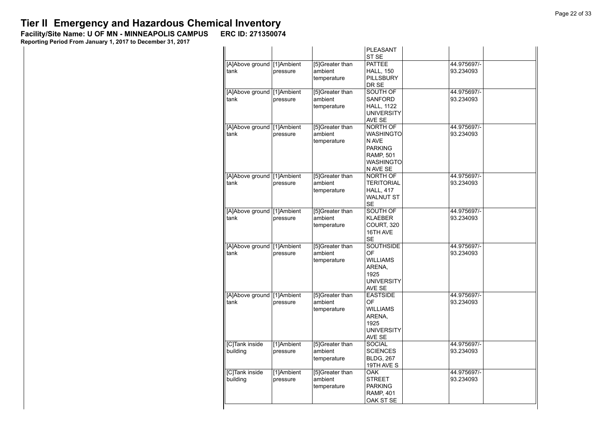**Facility/Site Name: U OF MN - MINNEAPOLIS CAMPUS-----ERC ID: 271350074**

|                                    |                        |                                           | PLEASANT<br>ST SE                                                                                           |                          |  |
|------------------------------------|------------------------|-------------------------------------------|-------------------------------------------------------------------------------------------------------------|--------------------------|--|
| [A]Above ground [1]Ambient<br>tank | pressure               | [5]Greater than<br>ambient<br>temperature | <b>PATTEE</b><br><b>HALL, 150</b><br><b>PILLSBURY</b><br>DR SE                                              | 44.975697/-<br>93.234093 |  |
| [A]Above ground [1]Ambient<br>tank | pressure               | [5]Greater than<br>ambient<br>temperature | SOUTH OF<br>SANFORD<br><b>HALL, 1122</b><br><b>UNIVERSITY</b><br>AVE SE                                     | 44.975697/-<br>93.234093 |  |
| [A]Above ground [1]Ambient<br>tank | pressure               | [5]Greater than<br>ambient<br>temperature | <b>NORTH OF</b><br><b>WASHINGTO</b><br>N AVE<br><b>PARKING</b><br><b>RAMP, 501</b><br>WASHINGTO<br>N AVE SE | 44.975697/-<br>93.234093 |  |
| [A]Above ground [1]Ambient<br>tank | pressure               | [5]Greater than<br>ambient<br>temperature | NORTH OF<br>TERITORIAL<br>HALL, 417<br><b>WALNUT ST</b><br><b>SE</b>                                        | 44.975697/-<br>93.234093 |  |
| [A]Above ground [1]Ambient<br>tank | pressure               | [5]Greater than<br>ambient<br>temperature | SOUTH OF<br><b>KLAEBER</b><br>COURT, 320<br>16TH AVE<br>SE                                                  | 44.975697/-<br>93.234093 |  |
| [A]Above ground [1]Ambient<br>tank | pressure               | [5]Greater than<br>ambient<br>temperature | <b>SOUTHSIDE</b><br>OF<br><b>WILLIAMS</b><br>ARENA,<br>1925<br><b>UNIVERSITY</b><br>AVE SE                  | 44.975697/-<br>93.234093 |  |
| [A]Above ground [1]Ambient<br>tank | pressure               | [5]Greater than<br>ambient<br>temperature | <b>EASTSIDE</b><br>OF<br><b>WILLIAMS</b><br>ARENA,<br>1925<br><b>UNIVERSITY</b><br>AVE SE                   | 44.975697/-<br>93.234093 |  |
| [C]Tank inside<br>building         | [1]Ambient<br>pressure | [5]Greater than<br>ambient<br>temperature | <b>SOCIAL</b><br><b>SCIENCES</b><br><b>BLDG, 267</b><br>19TH AVE S                                          | 44.975697/-<br>93.234093 |  |
| [C]Tank inside<br>building         | [1]Ambient<br>pressure | [5]Greater than<br>ambient<br>temperature | <b>OAK</b><br><b>STREET</b><br><b>PARKING</b><br><b>RAMP, 401</b><br>OAK ST SE                              | 44.975697/-<br>93.234093 |  |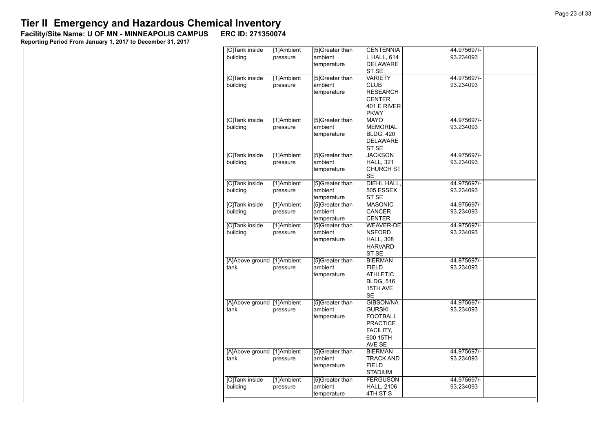**Facility/Site Name: U OF MN - MINNEAPOLIS CAMPUS-----ERC ID: 271350074**

| [C]Tank inside<br>building         | [1]Ambient<br>pressure | [5]Greater than<br>ambient<br>temperature  | <b>CENTENNIA</b><br>L HALL, 614<br><b>DELAWARE</b><br>ST SE                                                       | 44.975697/-<br>93.234093 |
|------------------------------------|------------------------|--------------------------------------------|-------------------------------------------------------------------------------------------------------------------|--------------------------|
| [C]Tank inside<br>building         | [1]Ambient<br>pressure | [5]Greater than<br>ambient<br>temperature  | <b>VARIETY</b><br>CLUB<br><b>RESEARCH</b><br>CENTER,<br>401 E RIVER<br><b>PKWY</b>                                | 44.975697/-<br>93.234093 |
| [C]Tank inside<br>building         | [1]Ambient<br>pressure | [5] Greater than<br>ambient<br>temperature | <b>MAYO</b><br><b>MEMORIAL</b><br><b>BLDG, 420</b><br>DELAWARE<br>ST SE                                           | 44.975697/-<br>93.234093 |
| [C]Tank inside<br>building         | [1]Ambient<br>pressure | [5]Greater than<br>ambient<br>temperature  | <b>JACKSON</b><br><b>HALL, 321</b><br><b>CHURCH ST</b><br><b>SE</b>                                               | 44.975697/-<br>93.234093 |
| [C]Tank inside<br>building         | [1]Ambient<br>pressure | [5]Greater than<br>ambient<br>temperature  | <b>DIEHL HALL</b><br>505 ESSEX<br>ST SE                                                                           | 44.975697/-<br>93.234093 |
| [C]Tank inside<br>building         | [1]Ambient<br>pressure | [5]Greater than<br>ambient<br>temperature  | <b>MASONIC</b><br>CANCER<br>CENTER,                                                                               | 44.975697/-<br>93.234093 |
| [C]Tank inside<br>building         | [1]Ambient<br>pressure | [5]Greater than<br>ambient<br>temperature  | <b>WEAVER-DE</b><br><b>NSFORD</b><br><b>HALL, 308</b><br><b>HARVARD</b><br>ST SE                                  | 44.975697/-<br>93.234093 |
| [A]Above ground<br>tank            | [1]Ambient<br>pressure | [5]Greater than<br>ambient<br>temperature  | <b>BIERMAN</b><br><b>FIELD</b><br><b>ATHLETIC</b><br><b>BLDG, 516</b><br>15TH AVE<br><b>SE</b>                    | 44.975697/-<br>93.234093 |
| [A]Above ground [1]Ambient<br>tank | pressure               | [5]Greater than<br>ambient<br>temperature  | <b>GIBSON/NA</b><br><b>GURSKI</b><br><b>FOOTBALL</b><br><b>PRACTICE</b><br><b>FACILITY,</b><br>600 15TH<br>AVE SE | 44.975697/-<br>93.234093 |
| [A]Above ground [1]Ambient<br>tank | pressure               | [5]Greater than<br>ambient<br>temperature  | <b>BIERMAN</b><br>TRACK AND<br><b>FIELD</b><br><b>STADIUM</b>                                                     | 44.975697/-<br>93.234093 |
| [C]Tank inside<br>building         | [1]Ambient<br>pressure | [5]Greater than<br>ambient<br>temperature  | <b>FERGUSON</b><br><b>HALL, 2106</b><br>4TH ST S                                                                  | 44.975697/-<br>93.234093 |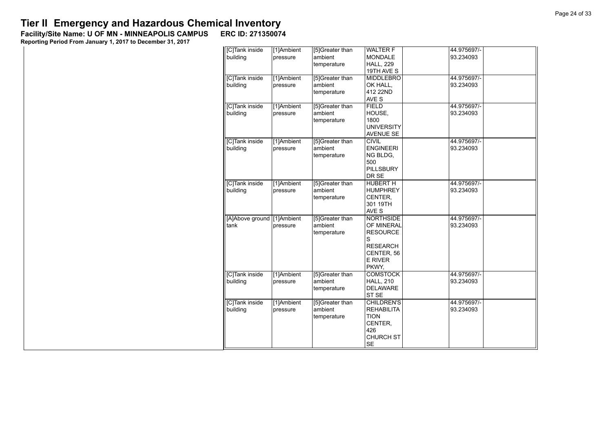**Facility/Site Name: U OF MN - MINNEAPOLIS CAMPUS-----ERC ID: 271350074**

| [C]Tank inside<br>building         | [1]Ambient<br>pressure | [5]Greater than<br>ambient<br>temperature | <b>WALTER F</b><br><b>MONDALE</b><br><b>HALL, 229</b><br>19TH AVE S                                                | 44.975697/-<br>93.234093 |  |
|------------------------------------|------------------------|-------------------------------------------|--------------------------------------------------------------------------------------------------------------------|--------------------------|--|
| [C]Tank inside<br>building         | [1]Ambient<br>pressure | [5]Greater than<br>ambient<br>temperature | <b>MIDDLEBRO</b><br>OK HALL,<br>412 22ND<br>AVE S                                                                  | 44.975697/-<br>93.234093 |  |
| [C]Tank inside<br>building         | [1]Ambient<br>pressure | [5]Greater than<br>ambient<br>temperature | <b>FIELD</b><br>HOUSE,<br>1800<br><b>UNIVERSITY</b><br><b>AVENUE SE</b>                                            | 44.975697/-<br>93.234093 |  |
| [C]Tank inside<br>building         | [1]Ambient<br>pressure | [5]Greater than<br>ambient<br>temperature | <b>CIVIL</b><br><b>ENGINEERI</b><br>NG BLDG,<br>500<br><b>PILLSBURY</b><br>DR SE                                   | 44.975697/-<br>93.234093 |  |
| [C]Tank inside<br>building         | [1]Ambient<br>pressure | [5]Greater than<br>ambient<br>temperature | <b>HUBERT H</b><br><b>HUMPHREY</b><br>CENTER,<br>301 19TH<br>AVE S                                                 | 44.975697/-<br>93.234093 |  |
| [A]Above ground [1]Ambient<br>tank | pressure               | [5]Greater than<br>ambient<br>temperature | <b>NORTHSIDE</b><br>OF MINERAL<br><b>RESOURCE</b><br>S<br><b>RESEARCH</b><br>CENTER, 56<br><b>E RIVER</b><br>PKWY. | 44.975697/-<br>93.234093 |  |
| [C]Tank inside<br>building         | [1]Ambient<br>pressure | [5]Greater than<br>ambient<br>temperature | <b>COMSTOCK</b><br><b>HALL, 210</b><br>DELAWARE<br>ST <sub>SE</sub>                                                | 44.975697/-<br>93.234093 |  |
| [C]Tank inside<br>building         | [1]Ambient<br>pressure | [5]Greater than<br>ambient<br>temperature | <b>CHILDREN'S</b><br><b>REHABILITA</b><br><b>TION</b><br>CENTER,<br>426<br><b>CHURCH ST</b><br><b>SE</b>           | 44.975697/-<br>93.234093 |  |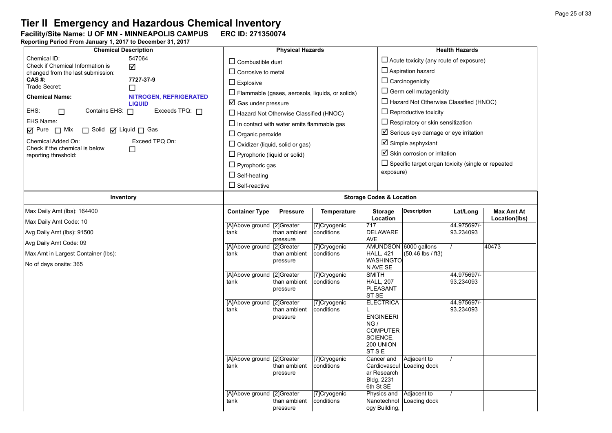**Facility/Site Name: U OF MN - MINNEAPOLIS CAMPUS-----ERC ID: 271350074**

| <b>Chemical Description</b>                                                                                                                                                                                                                                                                                                       | <b>Physical Hazards</b>                                                                                                                 |                                                                                                                                                                                                                                                                                                                                                                                                                                                                           |                                                                                                                                 |                                                                                                                                            | <b>Health Hazards</b>                                                                                                                                                                                                                                                                 |                                                                                                                                                                                                                                                                                                                                                                                                                                         |                                                                                              |                                             |  |
|-----------------------------------------------------------------------------------------------------------------------------------------------------------------------------------------------------------------------------------------------------------------------------------------------------------------------------------|-----------------------------------------------------------------------------------------------------------------------------------------|---------------------------------------------------------------------------------------------------------------------------------------------------------------------------------------------------------------------------------------------------------------------------------------------------------------------------------------------------------------------------------------------------------------------------------------------------------------------------|---------------------------------------------------------------------------------------------------------------------------------|--------------------------------------------------------------------------------------------------------------------------------------------|---------------------------------------------------------------------------------------------------------------------------------------------------------------------------------------------------------------------------------------------------------------------------------------|-----------------------------------------------------------------------------------------------------------------------------------------------------------------------------------------------------------------------------------------------------------------------------------------------------------------------------------------------------------------------------------------------------------------------------------------|----------------------------------------------------------------------------------------------|---------------------------------------------|--|
| Chemical ID:<br>Check if Chemical Information is<br>changed from the last submission:<br>CAS#:<br>Trade Secret:<br><b>Chemical Name:</b><br>EHS:<br>Contains EHS: $\Box$<br>П<br>EHS Name:<br>□ Solid □ Liquid □ Gas<br>$\boxdot$ Pure $\Box$ Mix<br>Chemical Added On:<br>Check if the chemical is below<br>reporting threshold: | 547064<br>☑<br>7727-37-9<br>$\Box$<br><b>NITROGEN, REFRIGERATED</b><br><b>LIQUID</b><br>Exceeds TPQ: $\Box$<br>Exceed TPQ On:<br>$\Box$ | $\Box$ Combustible dust<br>$\Box$ Corrosive to metal<br>$\Box$ Explosive<br>$\Box$ Flammable (gases, aerosols, liquids, or solids)<br>$\overline{\mathbf{2}}$ Gas under pressure<br>$\Box$ Hazard Not Otherwise Classified (HNOC)<br>$\Box$ In contact with water emits flammable gas<br>$\Box$ Organic peroxide<br>$\Box$ Oxidizer (liquid, solid or gas)<br>$\Box$ Pyrophoric (liquid or solid)<br>$\Box$ Pyrophoric gas<br>$\Box$ Self-heating<br>$\Box$ Self-reactive |                                                                                                                                 |                                                                                                                                            | $\Box$ Acute toxicity (any route of exposure)                                                                                                                                                                                                                                         | $\Box$ Aspiration hazard<br>$\Box$ Carcinogenicity<br>$\Box$ Germ cell mutagenicity<br>$\Box$ Hazard Not Otherwise Classified (HNOC)<br>$\Box$ Reproductive toxicity<br>$\Box$ Respiratory or skin sensitization<br>$\boxtimes$ Serious eye damage or eye irritation<br>$\overline{\mathbf{y}}$ Simple asphyxiant<br>$\boxtimes$ Skin corrosion or irritation<br>$\Box$ Specific target organ toxicity (single or repeated<br>exposure) |                                                                                              |                                             |  |
| Inventory                                                                                                                                                                                                                                                                                                                         |                                                                                                                                         |                                                                                                                                                                                                                                                                                                                                                                                                                                                                           |                                                                                                                                 |                                                                                                                                            | <b>Storage Codes &amp; Location</b>                                                                                                                                                                                                                                                   |                                                                                                                                                                                                                                                                                                                                                                                                                                         |                                                                                              |                                             |  |
| Max Daily Amt (lbs): 164400<br>Max Daily Amt Code: 10<br>Avg Daily Amt (lbs): 91500<br>Avg Daily Amt Code: 09<br>Max Amt in Largest Container (lbs):<br>No of days onsite: 365                                                                                                                                                    |                                                                                                                                         | <b>Container Type</b><br>[A]Above ground [2]Greater<br>tank<br>[A]Above ground [2]Greater<br>tank<br>[A]Above ground [2]Greater<br>tank<br>[A]Above ground [2]Greater<br>tank                                                                                                                                                                                                                                                                                             | <b>Pressure</b><br>than ambient<br>pressure<br>than ambient<br>pressure<br>than ambient<br>pressure<br>than ambient<br>pressure | <b>Temperature</b><br>[7]Cryogenic<br>conditions<br>[7]Cryogenic<br>conditions<br>[7]Cryogenic<br>conditions<br>[7]Cryogenic<br>conditions | <b>Storage</b><br>Location<br>717<br><b>DELAWARE</b><br><b>AVE</b><br><b>HALL, 421</b><br><b>WASHINGTO</b><br>N AVE SE<br><b>SMITH</b><br><b>HALL, 207</b><br>PLEASANT<br>ST <sub>SE</sub><br><b>ELECTRICA</b><br><b>ENGINEERI</b><br>NG/<br><b>COMPUTER</b><br>SCIENCE.<br>200 UNION | <b>Description</b><br>AMUNDSON 6000 gallons<br>(50.46 lbs / ft3)                                                                                                                                                                                                                                                                                                                                                                        | Lat/Long<br>44.975697/-<br>93.234093<br>44.975697/-<br>93.234093<br>44.975697/-<br>93.234093 | <b>Max Amt At</b><br>Location(lbs)<br>40473 |  |
|                                                                                                                                                                                                                                                                                                                                   |                                                                                                                                         | [A]Above ground [2]Greater<br>tank<br>[A]Above ground [2]Greater<br>tank                                                                                                                                                                                                                                                                                                                                                                                                  | than ambient<br>pressure<br>than ambient<br>pressure                                                                            | [7]Cryogenic<br>conditions<br>[7]Cryogenic<br>conditions                                                                                   | ST S E<br>Cancer and<br>Cardiovascul<br>ar Research<br>Bldg, 2231<br>6th St SE<br>Physics and<br>ogy Building,                                                                                                                                                                        | Adjacent to<br>Loading dock<br>Adjacent to<br>Nanotechnol Loading dock                                                                                                                                                                                                                                                                                                                                                                  |                                                                                              |                                             |  |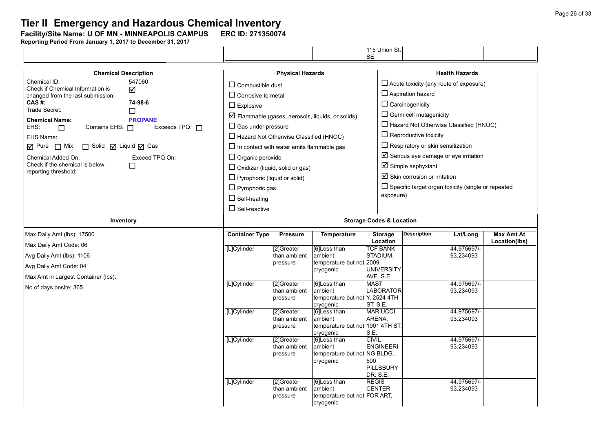# **Tier II Emergency and Hazardous Chemical Inventory**<br>Facility/Site Name: U OF MN - MINNEAPOLIS CAMPUS ERC ID: 271350074

**Facility/Site Name: U OF MN - MINNEAPOLIS CAMPUS-----ERC ID: 271350074**

|                                                                                                                                                                                                                                                                                                                                     |                                                                                                                                                                                                                                                                                                                                                                                                                                                                   |                                      |                                                                                                                                                                                                                                                                                                                                                                                                                                                                                          |                                                                                        | 115 Union St.<br><b>SE</b>                                                           |                       |                                     |                                    |  |
|-------------------------------------------------------------------------------------------------------------------------------------------------------------------------------------------------------------------------------------------------------------------------------------------------------------------------------------|-------------------------------------------------------------------------------------------------------------------------------------------------------------------------------------------------------------------------------------------------------------------------------------------------------------------------------------------------------------------------------------------------------------------------------------------------------------------|--------------------------------------|------------------------------------------------------------------------------------------------------------------------------------------------------------------------------------------------------------------------------------------------------------------------------------------------------------------------------------------------------------------------------------------------------------------------------------------------------------------------------------------|----------------------------------------------------------------------------------------|--------------------------------------------------------------------------------------|-----------------------|-------------------------------------|------------------------------------|--|
| <b>Chemical Description</b>                                                                                                                                                                                                                                                                                                         |                                                                                                                                                                                                                                                                                                                                                                                                                                                                   |                                      | <b>Physical Hazards</b>                                                                                                                                                                                                                                                                                                                                                                                                                                                                  |                                                                                        |                                                                                      | <b>Health Hazards</b> |                                     |                                    |  |
| Chemical ID:<br>Check if Chemical Information is<br>changed from the last submission:<br>CAS #:<br>Trade Secret:<br><b>Chemical Name:</b><br>EHS:<br>Contains EHS: 0<br>$\Box$<br>EHS Name:<br>$\sqrt{ }$ Pure $\Box$ Mix<br>□ Solid □ Liquid □ Gas<br>Chemical Added On:<br>Check if the chemical is below<br>reporting threshold: | $\Box$ Combustible dust<br>$\Box$ Corrosive to metal<br>$\Box$ Explosive<br>$\triangledown$ Flammable (gases, aerosols, liquids, or solids)<br>$\Box$ Gas under pressure<br>$\Box$ Hazard Not Otherwise Classified (HNOC)<br>$\Box$ In contact with water emits flammable gas<br>$\Box$ Organic peroxide<br>$\Box$ Oxidizer (liquid, solid or gas)<br>$\Box$ Pyrophoric (liquid or solid)<br>$\Box$ Pyrophoric gas<br>$\Box$ Self-heating<br>$\Box$ Self-reactive |                                      | $\Box$ Acute toxicity (any route of exposure)<br>$\Box$ Aspiration hazard<br>$\Box$ Carcinogenicity<br>$\Box$ Germ cell mutagenicity<br>$\Box$ Hazard Not Otherwise Classified (HNOC)<br>$\Box$ Reproductive toxicity<br>$\Box$ Respiratory or skin sensitization<br>$\boxtimes$ Serious eye damage or eye irritation<br>$\overline{\mathbf{y}}$ Simple asphyxiant<br>$\boxtimes$ Skin corrosion or irritation<br>$\Box$ Specific target organ toxicity (single or repeated<br>exposure) |                                                                                        |                                                                                      |                       |                                     |                                    |  |
| Inventory                                                                                                                                                                                                                                                                                                                           |                                                                                                                                                                                                                                                                                                                                                                                                                                                                   |                                      |                                                                                                                                                                                                                                                                                                                                                                                                                                                                                          |                                                                                        | <b>Storage Codes &amp; Location</b>                                                  |                       |                                     |                                    |  |
| Max Daily Amt (lbs): 17500<br>Max Daily Amt Code: 06<br>Avg Daily Amt (lbs): 1106<br>Avg Daily Amt Code: 04                                                                                                                                                                                                                         |                                                                                                                                                                                                                                                                                                                                                                                                                                                                   | <b>Container Type</b><br>[L]Cylinder | <b>Pressure</b><br>[2]Greater<br>than ambient<br>pressure                                                                                                                                                                                                                                                                                                                                                                                                                                | <b>Temperature</b><br>[6]Less than<br>ambient<br>temperature but not 2009<br>cryogenic | <b>Storage</b><br>Location<br><b>TCF BANK</b><br>STADIUM,<br><b>UNIVERSITY</b>       | <b>Description</b>    | Lat/Long<br>44.975697/<br>93.234093 | <b>Max Amt At</b><br>Location(lbs) |  |
| Max Amt in Largest Container (lbs):<br>No of days onsite: 365                                                                                                                                                                                                                                                                       |                                                                                                                                                                                                                                                                                                                                                                                                                                                                   | [L]Cylinder                          | [2]Greater<br>than ambient<br>pressure                                                                                                                                                                                                                                                                                                                                                                                                                                                   | [6]Less than<br>ambient<br>temperature but not Y, 2524 4TH<br>cryogenic                | AVE. S.E.<br><b>MAST</b><br><b>LABORATOR</b><br>ST S.E.                              |                       | 44.975697/-<br>93.234093            |                                    |  |
|                                                                                                                                                                                                                                                                                                                                     |                                                                                                                                                                                                                                                                                                                                                                                                                                                                   | [L]Cylinder                          | [2]Greater<br>than ambient<br>pressure                                                                                                                                                                                                                                                                                                                                                                                                                                                   | [6]Less than<br>ambient<br>temperature but not 1901 4TH ST.<br>cryogenic               | <b>MARIUCCI</b><br>ARENA,<br>S.E.                                                    |                       | 44.975697/-<br>93.234093            |                                    |  |
|                                                                                                                                                                                                                                                                                                                                     |                                                                                                                                                                                                                                                                                                                                                                                                                                                                   | [L]Cylinder                          | [2]Greater<br>than ambient<br>pressure                                                                                                                                                                                                                                                                                                                                                                                                                                                   | [6]Less than<br>ambient<br>temperature but not<br>cryogenic                            | <b>CIVIL</b><br><b>ENGINEERI</b><br>NG BLDG.,<br>500<br><b>PILLSBURY</b><br>DR. S.E. |                       | 44.975697/-<br>93.234093            |                                    |  |
|                                                                                                                                                                                                                                                                                                                                     |                                                                                                                                                                                                                                                                                                                                                                                                                                                                   | [L]Cylinder                          | [2]Greater<br>than ambient<br>pressure                                                                                                                                                                                                                                                                                                                                                                                                                                                   | [6]Less than<br>ambient<br>temperature but not FOR ART,<br>cryogenic                   | <b>REGIS</b><br><b>CENTER</b>                                                        |                       | 44.975697/<br>93.234093             |                                    |  |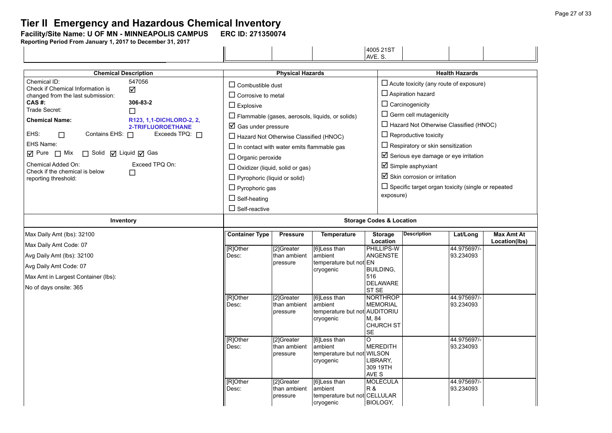# **Tier II Emergency and Hazardous Chemical Inventory**<br>Facility/Site Name: U OF MN - MINNEAPOLIS CAMPUS ERC ID: 271350074

**Facility/Site Name: U OF MN - MINNEAPOLIS CAMPUS-----ERC ID: 271350074**

|                                                                                                                                                                                                                                                                                                                                          |                                                                                                                             |                                                                                                                                                                                                                                                                                                                                                                                         |                                        |                                                                      | 4005 21ST<br>AVE. S.                                                                                                                                                                                                                                                                                                                                                                                                                                                         |                    |                          |                             |  |  |  |
|------------------------------------------------------------------------------------------------------------------------------------------------------------------------------------------------------------------------------------------------------------------------------------------------------------------------------------------|-----------------------------------------------------------------------------------------------------------------------------|-----------------------------------------------------------------------------------------------------------------------------------------------------------------------------------------------------------------------------------------------------------------------------------------------------------------------------------------------------------------------------------------|----------------------------------------|----------------------------------------------------------------------|------------------------------------------------------------------------------------------------------------------------------------------------------------------------------------------------------------------------------------------------------------------------------------------------------------------------------------------------------------------------------------------------------------------------------------------------------------------------------|--------------------|--------------------------|-----------------------------|--|--|--|
| <b>Chemical Description</b>                                                                                                                                                                                                                                                                                                              |                                                                                                                             | <b>Physical Hazards</b>                                                                                                                                                                                                                                                                                                                                                                 |                                        | <b>Health Hazards</b>                                                |                                                                                                                                                                                                                                                                                                                                                                                                                                                                              |                    |                          |                             |  |  |  |
| Chemical ID:<br>Check if Chemical Information is<br>changed from the last submission:<br>CAS #:<br>Trade Secret:<br><b>Chemical Name:</b><br>EHS:<br>Contains EHS: $\Box$<br>$\Box$<br>EHS Name:<br>□ Solid □ Liquid □ Gas<br>$\sqrt{ }$ Pure $\Box$ Mix<br>Chemical Added On:<br>Check if the chemical is below<br>reporting threshold: | 547056<br>☑<br>306-83-2<br>□<br>R123, 1,1-DICHLORO-2, 2,<br>2-TRIFLUOROETHANE<br>Exceeds $TPQ: \Box$<br>Exceed TPQ On:<br>П | $\Box$ Combustible dust<br>$\Box$ Corrosive to metal<br>$\Box$ Explosive<br>$\overline{\mathbf{2}}$ Gas under pressure<br>$\Box$ Hazard Not Otherwise Classified (HNOC)<br>$\Box$ In contact with water emits flammable gas<br>$\Box$ Organic peroxide<br>$\Box$ Oxidizer (liquid, solid or gas)<br>$\Box$ Pyrophoric (liquid or solid)<br>$\Box$ Pyrophoric gas<br>$\Box$ Self-heating |                                        | $\Box$ Flammable (gases, aerosols, liquids, or solids)               | $\Box$ Acute toxicity (any route of exposure)<br>$\Box$ Aspiration hazard<br>$\Box$ Carcinogenicity<br>$\Box$ Germ cell mutagenicity<br>$\Box$ Hazard Not Otherwise Classified (HNOC)<br>$\Box$ Reproductive toxicity<br>$\Box$ Respiratory or skin sensitization<br>$\boxtimes$ Serious eye damage or eye irritation<br>$\boxtimes$ Simple asphyxiant<br>$\boxtimes$ Skin corrosion or irritation<br>$\Box$ Specific target organ toxicity (single or repeated<br>exposure) |                    |                          |                             |  |  |  |
|                                                                                                                                                                                                                                                                                                                                          | Inventory                                                                                                                   | $\Box$ Self-reactive                                                                                                                                                                                                                                                                                                                                                                    | <b>Storage Codes &amp; Location</b>    |                                                                      |                                                                                                                                                                                                                                                                                                                                                                                                                                                                              |                    |                          |                             |  |  |  |
|                                                                                                                                                                                                                                                                                                                                          |                                                                                                                             |                                                                                                                                                                                                                                                                                                                                                                                         |                                        |                                                                      |                                                                                                                                                                                                                                                                                                                                                                                                                                                                              |                    |                          |                             |  |  |  |
| Max Daily Amt (lbs): 32100                                                                                                                                                                                                                                                                                                               |                                                                                                                             | <b>Container Type</b>                                                                                                                                                                                                                                                                                                                                                                   | <b>Pressure</b>                        | <b>Temperature</b>                                                   | <b>Storage</b><br>Location                                                                                                                                                                                                                                                                                                                                                                                                                                                   | <b>Description</b> | Lat/Long                 | Max Amt At<br>Location(lbs) |  |  |  |
| Max Daily Amt Code: 07<br>Avg Daily Amt (lbs): 32100<br>Avg Daily Amt Code: 07<br>Max Amt in Largest Container (lbs):<br>No of days onsite: 365                                                                                                                                                                                          |                                                                                                                             | [R]Other<br>Desc:                                                                                                                                                                                                                                                                                                                                                                       | [2]Greater<br>than ambient<br>pressure | [6]Less than<br>ambient<br>temperature but not EN<br>cryogenic       | PHILLIPS-W<br><b>ANGENSTE</b><br><b>BUILDING.</b><br>516<br><b>DELAWARE</b><br>ST <sub>SE</sub>                                                                                                                                                                                                                                                                                                                                                                              |                    | 44.975697/-<br>93.234093 |                             |  |  |  |
|                                                                                                                                                                                                                                                                                                                                          |                                                                                                                             | [R]Other<br>Desc:                                                                                                                                                                                                                                                                                                                                                                       | [2]Greater<br>than ambient<br>pressure | [6]Less than<br>ambient<br>temperature but not<br>cryogenic          | <b>NORTHROP</b><br><b>MEMORIAL</b><br><b>AUDITORIU</b><br>M. 84<br>CHURCH ST<br><b>SE</b>                                                                                                                                                                                                                                                                                                                                                                                    |                    | 44.975697/-<br>93.234093 |                             |  |  |  |
|                                                                                                                                                                                                                                                                                                                                          |                                                                                                                             | [R]Other<br>Desc:                                                                                                                                                                                                                                                                                                                                                                       | [2]Greater<br>than ambient<br>pressure | [6]Less than<br>ambient<br>temperature but not WILSON<br>cryogenic   | O<br><b>MEREDITH</b><br>LIBRARY,<br>309 19TH<br>AVE S                                                                                                                                                                                                                                                                                                                                                                                                                        |                    | 44.975697/-<br>93.234093 |                             |  |  |  |
|                                                                                                                                                                                                                                                                                                                                          |                                                                                                                             | [R]Other<br>Desc:                                                                                                                                                                                                                                                                                                                                                                       | [2]Greater<br>than ambient<br>pressure | [6]Less than<br>ambient<br>temperature but not CELLULAR<br>cryogenic | <b>MOLECULA</b><br><b>R&amp;</b><br>BIOLOGY,                                                                                                                                                                                                                                                                                                                                                                                                                                 |                    | 44.975697/-<br>93.234093 |                             |  |  |  |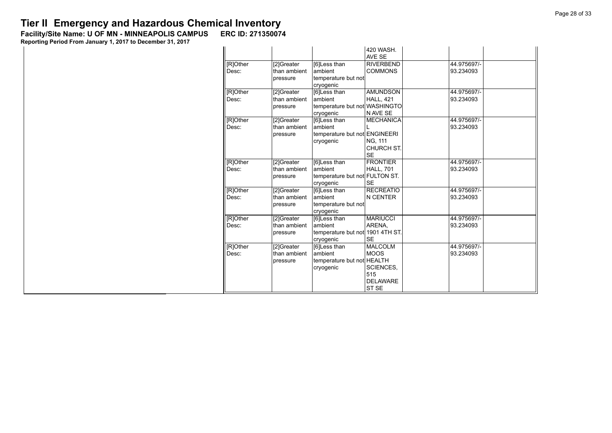**Facility/Site Name: U OF MN - MINNEAPOLIS CAMPUS-----ERC ID: 271350074**

|                   |                                        |                                                                          | 420 WASH.<br>AVE SE                                                                      |                          |  |
|-------------------|----------------------------------------|--------------------------------------------------------------------------|------------------------------------------------------------------------------------------|--------------------------|--|
| [R]Other<br>Desc: | [2]Greater<br>than ambient<br>pressure | [6]Less than<br>ambient<br>temperature but not<br>cryogenic              | <b>RIVERBEND</b><br><b>COMMONS</b>                                                       | 44.975697/-<br>93.234093 |  |
| [R]Other<br>Desc: | [2]Greater<br>than ambient<br>pressure | [6]Less than<br>ambient<br>temperature but not WASHINGTO<br>cryogenic    | <b>AMUNDSON</b><br><b>HALL, 421</b><br>N AVE SE                                          | 44.975697/-<br>93.234093 |  |
| [R]Other<br>Desc: | [2]Greater<br>than ambient<br>pressure | [6]Less than<br>ambient<br>temperature but not ENGINEERI<br>cryogenic    | <b>MECHANICA</b><br>L<br>NG, 111<br>CHURCH ST.<br><b>SE</b>                              | 44.975697/-<br>93.234093 |  |
| [R]Other<br>Desc: | [2]Greater<br>than ambient<br>pressure | [6]Less than<br>ambient<br>temperature but not FULTON ST.<br>cryogenic   | <b>FRONTIER</b><br><b>HALL. 701</b><br><b>SE</b>                                         | 44.975697/-<br>93.234093 |  |
| [R]Other<br>Desc: | [2]Greater<br>than ambient<br>pressure | [6]Less than<br>ambient<br>temperature but not<br>cryogenic              | <b>RECREATIO</b><br>N CENTER                                                             | 44.975697/-<br>93.234093 |  |
| [R]Other<br>Desc: | [2]Greater<br>than ambient<br>pressure | [6]Less than<br>ambient<br>temperature but not 1901 4TH ST.<br>cryogenic | <b>MARIUCCI</b><br>ARENA.<br><b>SE</b>                                                   | 44.975697/-<br>93.234093 |  |
| [R]Other<br>Desc: | [2]Greater<br>than ambient<br>pressure | [6]Less than<br>ambient<br>temperature but not HEALTH<br>cryogenic       | <b>MALCOLM</b><br><b>MOOS</b><br>SCIENCES,<br>515<br><b>DELAWARE</b><br>ST <sub>SE</sub> | 44.975697/-<br>93.234093 |  |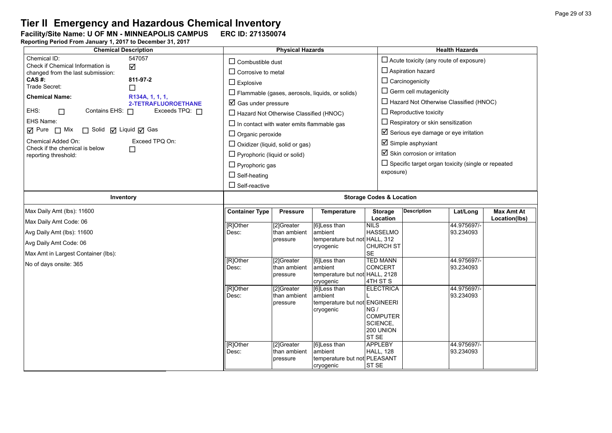**Facility/Site Name: U OF MN - MINNEAPOLIS CAMPUS-----ERC ID: 271350074**

| <b>Chemical Description</b>                                                           |                       | <b>Physical Hazards</b>                                |                                            |                               | <b>Health Hazards</b>                                                     |             |                   |  |  |  |
|---------------------------------------------------------------------------------------|-----------------------|--------------------------------------------------------|--------------------------------------------|-------------------------------|---------------------------------------------------------------------------|-------------|-------------------|--|--|--|
| Chemical ID:<br>547057<br>Check if Chemical Information is<br>$\overline{\mathsf{M}}$ |                       | $\Box$ Combustible dust                                |                                            |                               | $\Box$ Acute toxicity (any route of exposure)<br>$\Box$ Aspiration hazard |             |                   |  |  |  |
| changed from the last submission:                                                     |                       | $\Box$ Corrosive to metal                              |                                            |                               |                                                                           |             |                   |  |  |  |
| CAS #:<br>811-97-2<br>Trade Secret:<br>□                                              | $\Box$ Explosive      |                                                        |                                            |                               | $\Box$ Carcinogenicity                                                    |             |                   |  |  |  |
| <b>Chemical Name:</b><br>R134A, 1, 1, 1,                                              |                       | $\Box$ Flammable (gases, aerosols, liquids, or solids) |                                            |                               | $\Box$ Germ cell mutagenicity                                             |             |                   |  |  |  |
| 2-TETRAFLUOROETHANE                                                                   |                       | $\boxtimes$ Gas under pressure                         |                                            |                               | $\Box$ Hazard Not Otherwise Classified (HNOC)                             |             |                   |  |  |  |
| EHS:<br>Contains EHS: 0<br>Exceeds TPQ: $\Box$<br>$\Box$                              |                       | $\Box$ Hazard Not Otherwise Classified (HNOC)          |                                            |                               | $\Box$ Reproductive toxicity                                              |             |                   |  |  |  |
| EHS Name:                                                                             |                       | $\Box$ In contact with water emits flammable gas       |                                            |                               | $\Box$ Respiratory or skin sensitization                                  |             |                   |  |  |  |
| □ Solid □ Liquid □ Gas<br>$\overline{M}$ Pure $\Box$ Mix                              |                       | $\Box$ Organic peroxide                                |                                            |                               | $\boxtimes$ Serious eye damage or eye irritation                          |             |                   |  |  |  |
| Exceed TPQ On:<br>Chemical Added On:<br>Check if the chemical is below<br>П           |                       | $\Box$ Oxidizer (liquid, solid or gas)                 |                                            |                               | $\boxtimes$ Simple asphyxiant                                             |             |                   |  |  |  |
| reporting threshold:                                                                  |                       | $\Box$ Pyrophoric (liquid or solid)                    |                                            |                               | $\boxtimes$ Skin corrosion or irritation                                  |             |                   |  |  |  |
|                                                                                       | $\Box$ Pyrophoric gas |                                                        |                                            |                               | $\Box$ Specific target organ toxicity (single or repeated                 |             |                   |  |  |  |
|                                                                                       | $\Box$ Self-heating   |                                                        |                                            | exposure)                     |                                                                           |             |                   |  |  |  |
|                                                                                       | $\Box$ Self-reactive  |                                                        |                                            |                               |                                                                           |             |                   |  |  |  |
| Inventory                                                                             |                       | <b>Storage Codes &amp; Location</b>                    |                                            |                               |                                                                           |             |                   |  |  |  |
| Max Daily Amt (lbs): 11600                                                            | <b>Container Type</b> | <b>Pressure</b>                                        | Temperature                                | <b>Storage</b>                | <b>Description</b>                                                        | Lat/Long    | <b>Max Amt At</b> |  |  |  |
| Max Daily Amt Code: 06                                                                | [R]Other              | [2]Greater                                             | [6]Less than                               | Location<br><b>NILS</b>       |                                                                           | 44.975697/- | Location(lbs)     |  |  |  |
| Avg Daily Amt (lbs): 11600                                                            | Desc:                 | than ambient                                           | ambient                                    | <b>HASSELMO</b>               |                                                                           | 93.234093   |                   |  |  |  |
| Avg Daily Amt Code: 06                                                                |                       | pressure                                               | temperature but not HALL, 312<br>cryogenic | CHURCH ST                     |                                                                           |             |                   |  |  |  |
| Max Amt in Largest Container (lbs):                                                   |                       |                                                        |                                            | <b>SE</b>                     |                                                                           |             |                   |  |  |  |
| No of days onsite: 365                                                                | [R]Other              | [2]Greater                                             | [6]Less than                               | <b>TED MANN</b>               |                                                                           | 44.975697/- |                   |  |  |  |
|                                                                                       | Desc:                 | than ambient<br>pressure                               | ambient<br>temperature but not HALL, 2128  | <b>CONCERT</b>                |                                                                           | 93.234093   |                   |  |  |  |
|                                                                                       |                       |                                                        | cryogenic                                  | 4TH ST S                      |                                                                           |             |                   |  |  |  |
|                                                                                       | [R]Other              | [2]Greater                                             | [6]Less than                               | <b>ELECTRICA</b>              |                                                                           | 44.975697/- |                   |  |  |  |
|                                                                                       | Desc:                 | than ambient<br>pressure                               | ambient<br>temperature but not ENGINEERI   |                               |                                                                           | 93.234093   |                   |  |  |  |
|                                                                                       |                       |                                                        | cryogenic                                  | NG/                           |                                                                           |             |                   |  |  |  |
|                                                                                       |                       |                                                        |                                            | <b>COMPUTER</b>               |                                                                           |             |                   |  |  |  |
|                                                                                       |                       |                                                        |                                            | SCIENCE,                      |                                                                           |             |                   |  |  |  |
|                                                                                       |                       |                                                        |                                            | 200 UNION<br>ST <sub>SE</sub> |                                                                           |             |                   |  |  |  |
|                                                                                       | [R]Other              | [2]Greater                                             | [6]Less than                               | <b>APPLEBY</b>                |                                                                           | 44.975697/- |                   |  |  |  |
|                                                                                       | Desc:                 | than ambient                                           | ambient                                    | <b>HALL, 128</b>              |                                                                           | 93.234093   |                   |  |  |  |
|                                                                                       |                       | pressure                                               | temperature but not PLEASANT               |                               |                                                                           |             |                   |  |  |  |
|                                                                                       |                       |                                                        | cryogenic                                  | ST SE                         |                                                                           |             |                   |  |  |  |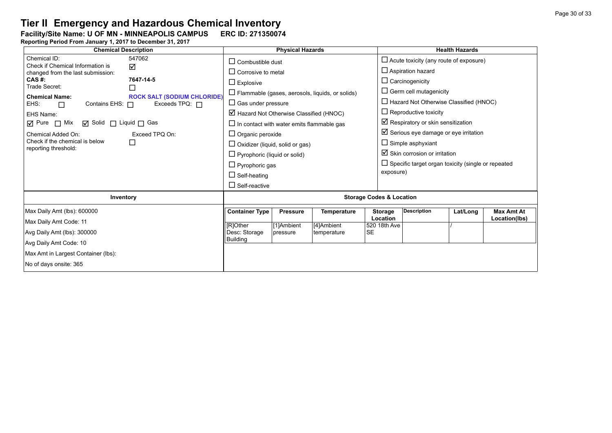**Facility/Site Name: U OF MN - MINNEAPOLIS CAMPUS-----ERC ID: 271350074**

| <b>Chemical Description</b>                                          | <b>Physical Hazards</b>                                   |                                                    |                 |                                                        | <b>Health Hazards</b>                            |                                                           |          |                                               |  |  |  |
|----------------------------------------------------------------------|-----------------------------------------------------------|----------------------------------------------------|-----------------|--------------------------------------------------------|--------------------------------------------------|-----------------------------------------------------------|----------|-----------------------------------------------|--|--|--|
| Chemical ID:<br>Check if Chemical Information is                     | 547062<br>☑                                               |                                                    |                 | $\Box$ Combustible dust                                |                                                  |                                                           |          | $\Box$ Acute toxicity (any route of exposure) |  |  |  |
| changed from the last submission:                                    |                                                           | $\Box$ Corrosive to metal                          |                 |                                                        |                                                  | $\Box$ Aspiration hazard                                  |          |                                               |  |  |  |
| CAS #:<br>Trade Secret:                                              | 7647-14-5                                                 | $\Box$ Explosive                                   |                 |                                                        |                                                  | $\Box$ Carcinogenicity                                    |          |                                               |  |  |  |
|                                                                      |                                                           |                                                    |                 | $\Box$ Flammable (gases, aerosols, liquids, or solids) |                                                  | $\Box$ Germ cell mutagenicity                             |          |                                               |  |  |  |
| <b>Chemical Name:</b><br>Contains EHS: $\Box$<br>EHS:<br>$\Box$      | <b>ROCK SALT (SODIUM CHLORIDE)</b><br>Exceeds TPQ: $\Box$ | $\Box$ Gas under pressure                          |                 |                                                        |                                                  | $\Box$ Hazard Not Otherwise Classified (HNOC)             |          |                                               |  |  |  |
| EHS Name:                                                            |                                                           | $\boxtimes$ Hazard Not Otherwise Classified (HNOC) |                 |                                                        |                                                  | $\Box$ Reproductive toxicity                              |          |                                               |  |  |  |
| $\boxtimes$ Pure $\Box$ Mix<br>$\Box$ Solid $\Box$ Liquid $\Box$ Gas |                                                           | $\Box$ In contact with water emits flammable gas   |                 |                                                        |                                                  | $\boxtimes$ Respiratory or skin sensitization             |          |                                               |  |  |  |
| Chemical Added On:                                                   | $\Box$ Organic peroxide                                   |                                                    |                 |                                                        | $\boxtimes$ Serious eye damage or eye irritation |                                                           |          |                                               |  |  |  |
| Check if the chemical is below                                       | $\Box$ Oxidizer (liquid, solid or gas)                    |                                                    |                 |                                                        | $\Box$ Simple asphyxiant                         |                                                           |          |                                               |  |  |  |
|                                                                      | reporting threshold:                                      |                                                    |                 | $\Box$ Pyrophoric (liquid or solid)                    |                                                  |                                                           |          | $\boxtimes$ Skin corrosion or irritation      |  |  |  |
|                                                                      |                                                           | $\Box$ Pyrophoric gas<br>$\Box$ Self-heating       |                 |                                                        |                                                  | $\Box$ Specific target organ toxicity (single or repeated |          |                                               |  |  |  |
|                                                                      |                                                           |                                                    |                 |                                                        |                                                  | exposure)                                                 |          |                                               |  |  |  |
|                                                                      |                                                           | $\Box$ Self-reactive                               |                 |                                                        |                                                  |                                                           |          |                                               |  |  |  |
| Inventory                                                            |                                                           | <b>Storage Codes &amp; Location</b>                |                 |                                                        |                                                  |                                                           |          |                                               |  |  |  |
| Max Daily Amt (lbs): 600000                                          |                                                           | <b>Container Type</b>                              | <b>Pressure</b> | Temperature                                            | <b>Storage</b>                                   | <b>Description</b>                                        | Lat/Long | <b>Max Amt At</b>                             |  |  |  |
| Max Daily Amt Code: 11                                               |                                                           | [R]Other                                           | [1]Ambient      | [4]Ambient                                             | Location<br>520 18th Ave                         |                                                           |          | Location(lbs)                                 |  |  |  |
| Avg Daily Amt (lbs): 300000                                          | Desc: Storage                                             | pressure                                           | temperature     | <b>SE</b>                                              |                                                  |                                                           |          |                                               |  |  |  |
| Avg Daily Amt Code: 10                                               |                                                           | <b>Building</b>                                    |                 |                                                        |                                                  |                                                           |          |                                               |  |  |  |
| Max Amt in Largest Container (lbs):                                  |                                                           |                                                    |                 |                                                        |                                                  |                                                           |          |                                               |  |  |  |
| No of days onsite: 365                                               |                                                           |                                                    |                 |                                                        |                                                  |                                                           |          |                                               |  |  |  |
|                                                                      |                                                           |                                                    |                 |                                                        |                                                  |                                                           |          |                                               |  |  |  |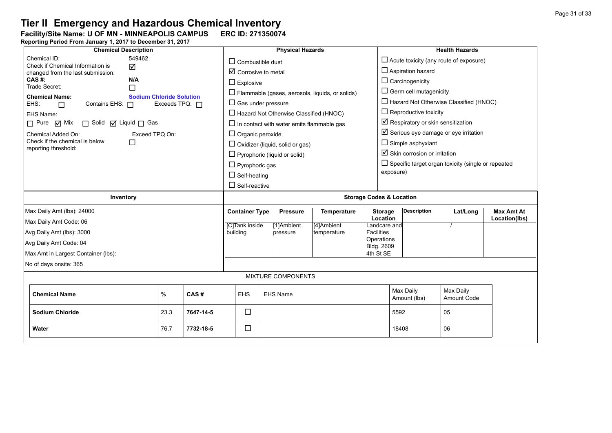**Facility/Site Name: U OF MN - MINNEAPOLIS CAMPUS-----ERC ID: 271350074**

| <b>Chemical Description</b>                                                |                     |           | <b>Physical Hazards</b>             |                         |                                                  |                                                        |                          | <b>Health Hazards</b>                                     |                          |                   |  |
|----------------------------------------------------------------------------|---------------------|-----------|-------------------------------------|-------------------------|--------------------------------------------------|--------------------------------------------------------|--------------------------|-----------------------------------------------------------|--------------------------|-------------------|--|
| Chemical ID:<br>549462                                                     |                     |           |                                     | $\Box$ Combustible dust |                                                  |                                                        |                          | $\Box$ Acute toxicity (any route of exposure)             |                          |                   |  |
| Check if Chemical Information is<br>☑<br>changed from the last submission: |                     |           | $\boxtimes$ Corrosive to metal      |                         |                                                  |                                                        |                          | $\Box$ Aspiration hazard                                  |                          |                   |  |
| CAS#:<br>N/A<br>Trade Secret:                                              |                     |           | $\Box$ Explosive                    |                         |                                                  |                                                        |                          | $\Box$ Carcinogenicity                                    |                          |                   |  |
| □<br><b>Chemical Name:</b><br><b>Sodium Chloride Solution</b>              |                     |           |                                     |                         |                                                  | $\Box$ Flammable (gases, aerosols, liquids, or solids) |                          | $\Box$ Germ cell mutagenicity                             |                          |                   |  |
| EHS:<br>Contains EHS: □<br>$\Box$                                          | Exceeds TPQ: $\Box$ |           | $\Box$ Gas under pressure           |                         |                                                  |                                                        |                          | $\Box$ Hazard Not Otherwise Classified (HNOC)             |                          |                   |  |
| EHS Name:                                                                  |                     |           |                                     |                         | $\Box$ Hazard Not Otherwise Classified (HNOC)    |                                                        |                          | $\Box$ Reproductive toxicity                              |                          |                   |  |
| $\Box$ Pure $\Box$ Mix<br>□ Solid □ Liquid □ Gas                           |                     |           |                                     |                         | $\Box$ In contact with water emits flammable gas |                                                        |                          | $\boxtimes$ Respiratory or skin sensitization             |                          |                   |  |
| Chemical Added On:<br>Exceed TPQ On:                                       |                     |           | $\Box$ Organic peroxide             |                         |                                                  |                                                        |                          | $\boxtimes$ Serious eye damage or eye irritation          |                          |                   |  |
| Check if the chemical is below<br>П<br>reporting threshold:                |                     |           |                                     |                         | $\Box$ Oxidizer (liquid, solid or gas)           |                                                        |                          | $\Box$ Simple asphyxiant                                  |                          |                   |  |
|                                                                            |                     |           |                                     |                         | $\Box$ Pyrophoric (liquid or solid)              |                                                        |                          | $\boxtimes$ Skin corrosion or irritation                  |                          |                   |  |
|                                                                            |                     |           | $\Box$ Pyrophoric gas               |                         |                                                  |                                                        |                          | $\Box$ Specific target organ toxicity (single or repeated |                          |                   |  |
|                                                                            |                     |           | $\Box$ Self-heating                 |                         |                                                  |                                                        |                          | exposure)                                                 |                          |                   |  |
|                                                                            |                     |           | $\Box$ Self-reactive                |                         |                                                  |                                                        |                          |                                                           |                          |                   |  |
| Inventory                                                                  |                     |           | <b>Storage Codes &amp; Location</b> |                         |                                                  |                                                        |                          |                                                           |                          |                   |  |
| Max Daily Amt (lbs): 24000                                                 |                     |           | <b>Container Type</b>               |                         | <b>Pressure</b>                                  | Temperature                                            | <b>Storage</b>           | <b>Description</b>                                        | Lat/Long                 | <b>Max Amt At</b> |  |
| Max Daily Amt Code: 06                                                     |                     |           | [C]Tank inside                      |                         | [1]Ambient                                       | [4]Ambient                                             | Location<br>Landcare and |                                                           |                          | Location(lbs)     |  |
| Avg Daily Amt (lbs): 3000                                                  |                     |           | building                            |                         | pressure                                         | temperature                                            | <b>Facilities</b>        |                                                           |                          |                   |  |
| Avg Daily Amt Code: 04                                                     |                     |           |                                     |                         |                                                  |                                                        | Operations<br>Bldg. 2609 |                                                           |                          |                   |  |
| Max Amt in Largest Container (lbs):                                        |                     |           |                                     |                         |                                                  |                                                        | 4th St SE                |                                                           |                          |                   |  |
| No of days onsite: 365                                                     |                     |           |                                     |                         |                                                  |                                                        |                          |                                                           |                          |                   |  |
|                                                                            |                     |           |                                     |                         | <b>MIXTURE COMPONENTS</b>                        |                                                        |                          |                                                           |                          |                   |  |
| <b>Chemical Name</b>                                                       | $\%$                | CAS#      | <b>EHS</b>                          |                         | <b>EHS Name</b>                                  |                                                        |                          | Max Daily<br>Amount (lbs)                                 | Max Daily<br>Amount Code |                   |  |
| <b>Sodium Chloride</b>                                                     | 23.3                | 7647-14-5 | $\Box$                              |                         |                                                  |                                                        |                          | 5592                                                      | 05                       |                   |  |
|                                                                            |                     |           |                                     |                         |                                                  |                                                        |                          |                                                           |                          |                   |  |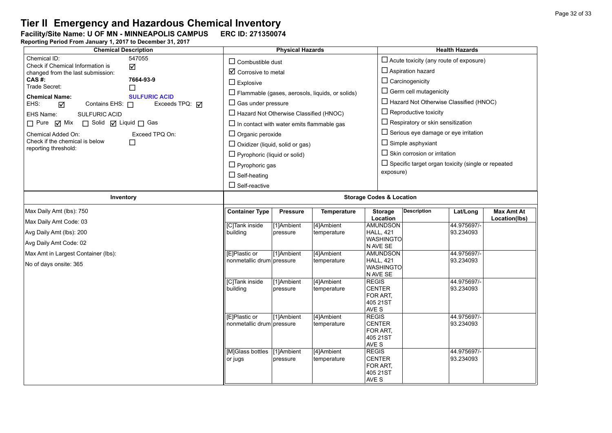**Facility/Site Name: U OF MN - MINNEAPOLIS CAMPUS-----ERC ID: 271350074**

| <b>Chemical Description</b>                                                                                                                           | <b>Physical Hazards</b>                                                       |                        |                                                        |                                                                | <b>Health Hazards</b>                                                                                                                |                          |                   |  |
|-------------------------------------------------------------------------------------------------------------------------------------------------------|-------------------------------------------------------------------------------|------------------------|--------------------------------------------------------|----------------------------------------------------------------|--------------------------------------------------------------------------------------------------------------------------------------|--------------------------|-------------------|--|
| Chemical ID:<br>547055<br>Check if Chemical Information is<br>☑<br>changed from the last submission:<br>CAS#:<br>7664-93-9<br>Trade Secret:<br>$\Box$ | $\Box$ Combustible dust<br>$\boxtimes$ Corrosive to metal<br>$\Box$ Explosive |                        |                                                        |                                                                | $\Box$ Acute toxicity (any route of exposure)<br>$\Box$ Aspiration hazard<br>$\Box$ Carcinogenicity<br>$\Box$ Germ cell mutagenicity |                          |                   |  |
| <b>SULFURIC ACID</b><br><b>Chemical Name:</b>                                                                                                         |                                                                               |                        | $\Box$ Flammable (gases, aerosols, liquids, or solids) |                                                                | $\Box$ Hazard Not Otherwise Classified (HNOC)                                                                                        |                          |                   |  |
| EHS:<br>Contains EHS: $\Box$<br>Exceeds TPQ: <b>√</b><br>☑                                                                                            | $\Box$ Gas under pressure                                                     |                        |                                                        |                                                                | $\Box$ Reproductive toxicity                                                                                                         |                          |                   |  |
| EHS Name:<br>SULFURIC ACID<br>$\overline{M}$ Mix<br>□ Solid □ Liquid □ Gas<br>$\Box$ Pure                                                             | $\Box$ Hazard Not Otherwise Classified (HNOC)                                 |                        |                                                        |                                                                | $\Box$ Respiratory or skin sensitization                                                                                             |                          |                   |  |
|                                                                                                                                                       | $\Box$ In contact with water emits flammable gas                              |                        |                                                        |                                                                | $\Box$ Serious eye damage or eye irritation                                                                                          |                          |                   |  |
| Chemical Added On:<br>Exceed TPQ On:<br>Check if the chemical is below<br>□                                                                           | $\Box$ Organic peroxide                                                       |                        |                                                        |                                                                | $\Box$ Simple asphyxiant                                                                                                             |                          |                   |  |
| reporting threshold:                                                                                                                                  | $\Box$ Oxidizer (liquid, solid or gas)                                        |                        |                                                        |                                                                | $\Box$ Skin corrosion or irritation                                                                                                  |                          |                   |  |
|                                                                                                                                                       | $\Box$ Pyrophoric (liquid or solid)                                           |                        |                                                        |                                                                | $\Box$ Specific target organ toxicity (single or repeated                                                                            |                          |                   |  |
|                                                                                                                                                       | $\Box$ Pyrophoric gas                                                         |                        |                                                        | exposure)                                                      |                                                                                                                                      |                          |                   |  |
|                                                                                                                                                       | $\Box$ Self-heating                                                           |                        |                                                        |                                                                |                                                                                                                                      |                          |                   |  |
|                                                                                                                                                       | $\Box$ Self-reactive                                                          |                        |                                                        |                                                                |                                                                                                                                      |                          |                   |  |
| Inventory                                                                                                                                             | <b>Storage Codes &amp; Location</b>                                           |                        |                                                        |                                                                |                                                                                                                                      |                          |                   |  |
| Max Daily Amt (lbs): 750                                                                                                                              | <b>Container Type</b>                                                         | <b>Pressure</b>        | Temperature                                            | <b>Storage</b>                                                 | <b>Description</b>                                                                                                                   | Lat/Long                 | <b>Max Amt At</b> |  |
| Max Daily Amt Code: 03                                                                                                                                | [C]Tank inside                                                                | [1]Ambient             | [4]Ambient                                             | Location<br>AMUNDSON                                           |                                                                                                                                      | 44.975697/               | Location(lbs)     |  |
| Avg Daily Amt (lbs): 200                                                                                                                              | building                                                                      | pressure               | temperature                                            | <b>HALL, 421</b>                                               |                                                                                                                                      | 93.234093                |                   |  |
| Avg Daily Amt Code: 02                                                                                                                                |                                                                               |                        |                                                        | <b>WASHINGTO</b><br>N AVE SE                                   |                                                                                                                                      |                          |                   |  |
| Max Amt in Largest Container (lbs):                                                                                                                   | [E]Plastic or                                                                 | [1]Ambient             | [4]Ambient                                             | <b>AMUNDSON</b>                                                |                                                                                                                                      | 44.975697/-              |                   |  |
| No of days onsite: 365                                                                                                                                | nonmetallic drum pressure                                                     |                        | temperature                                            | <b>HALL, 421</b><br><b>WASHINGTO</b><br>N AVE SE               |                                                                                                                                      | 93.234093                |                   |  |
|                                                                                                                                                       | [C]Tank inside<br>building                                                    | [1]Ambient<br>pressure | [4]Ambient<br>temperature                              | <b>REGIS</b><br><b>CENTER</b><br>FOR ART.<br>405 21ST<br>AVE S |                                                                                                                                      | 44.975697/-<br>93.234093 |                   |  |
|                                                                                                                                                       | [E]Plastic or                                                                 | [1]Ambient             | [4]Ambient                                             | <b>REGIS</b>                                                   |                                                                                                                                      | 44.975697/-              |                   |  |
|                                                                                                                                                       | nonmetallic drum pressure                                                     |                        | temperature                                            | <b>CENTER</b><br>FOR ART.<br>405 21ST<br>AVE S                 |                                                                                                                                      | 93.234093                |                   |  |
|                                                                                                                                                       | [M]Glass bottles   [1]Ambient                                                 |                        | [4]Ambient                                             | <b>REGIS</b>                                                   |                                                                                                                                      | 44.975697/-              |                   |  |
|                                                                                                                                                       | or jugs                                                                       | pressure               | temperature                                            | <b>CENTER</b><br>FOR ART,<br>405 21ST                          |                                                                                                                                      | 93.234093                |                   |  |
|                                                                                                                                                       |                                                                               |                        |                                                        | AVE S                                                          |                                                                                                                                      |                          |                   |  |